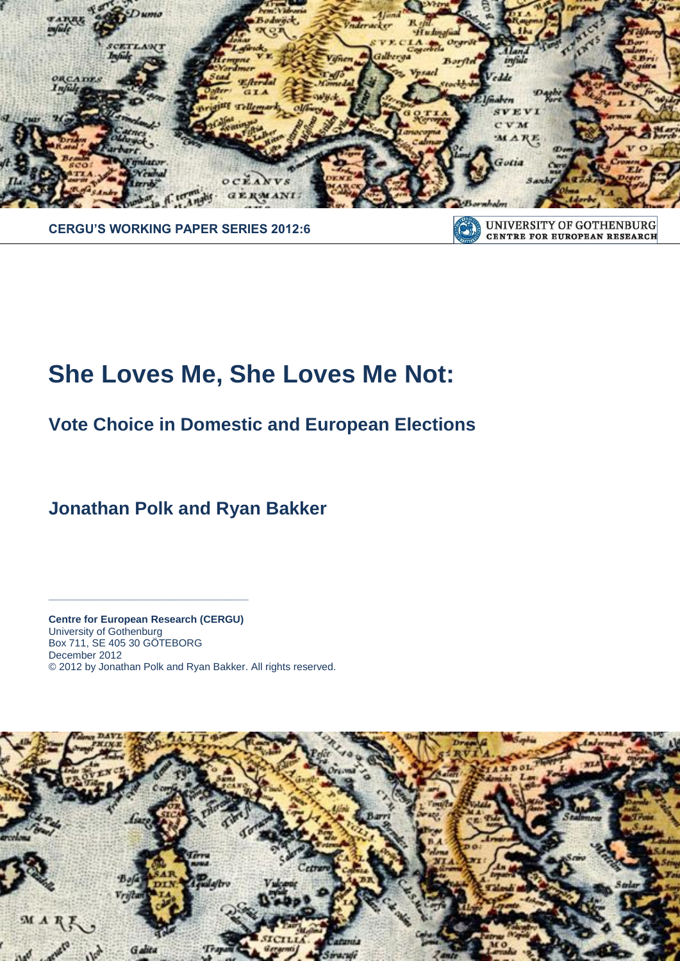

**CENTRE FOR EUROPEAN RESEARCH** 

## **CERGU'S WORKING PAPER SERIES 2012:6**

# **She Loves Me, She Loves Me Not:**

**Vote Choice in Domestic and European Elections**

**Jonathan Polk and Ryan Bakker**

**Centre for European Research (CERGU)**  University of Gothenburg Box 711, SE 405 30 GÖTEBORG December 2012 © 2012 by Jonathan Polk and Ryan Bakker. All rights reserved.

**\_\_\_\_\_\_\_\_\_\_\_\_\_\_\_\_\_\_\_\_\_\_\_\_\_\_\_\_\_\_\_\_\_\_\_**

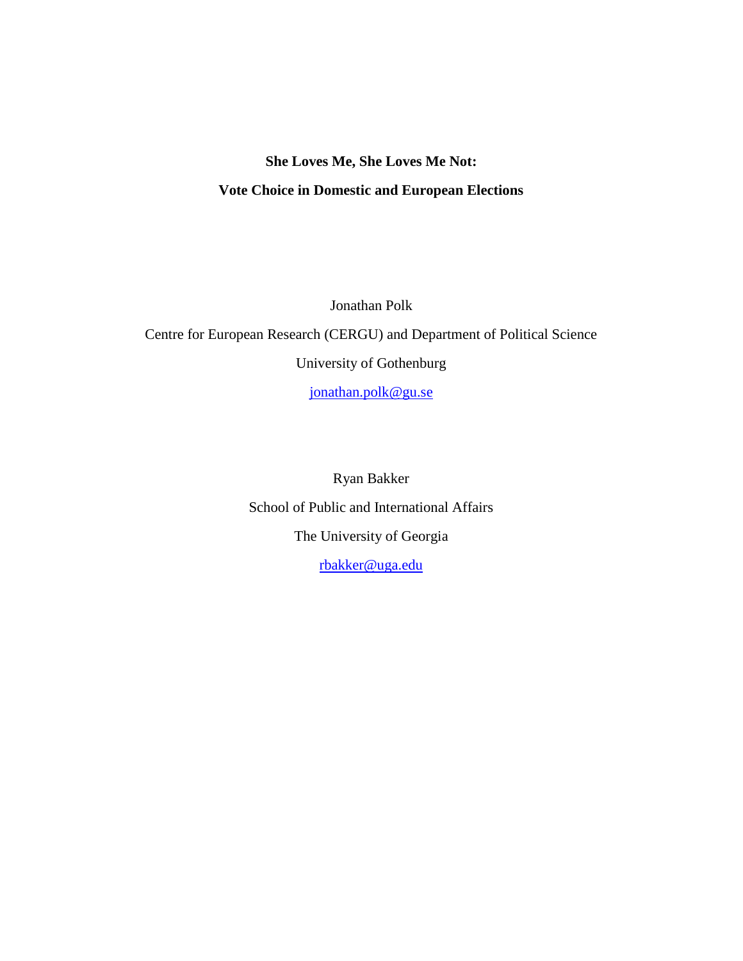## **She Loves Me, She Loves Me Not: Vote Choice in Domestic and European Elections**

Jonathan Polk

Centre for European Research (CERGU) and Department of Political Science University of Gothenburg

[jonathan.polk@gu.se](mailto:jonathan.polk@gu.se)

Ryan Bakker School of Public and International Affairs The University of Georgia [rbakker@uga.edu](mailto:rbakker@uga.edu)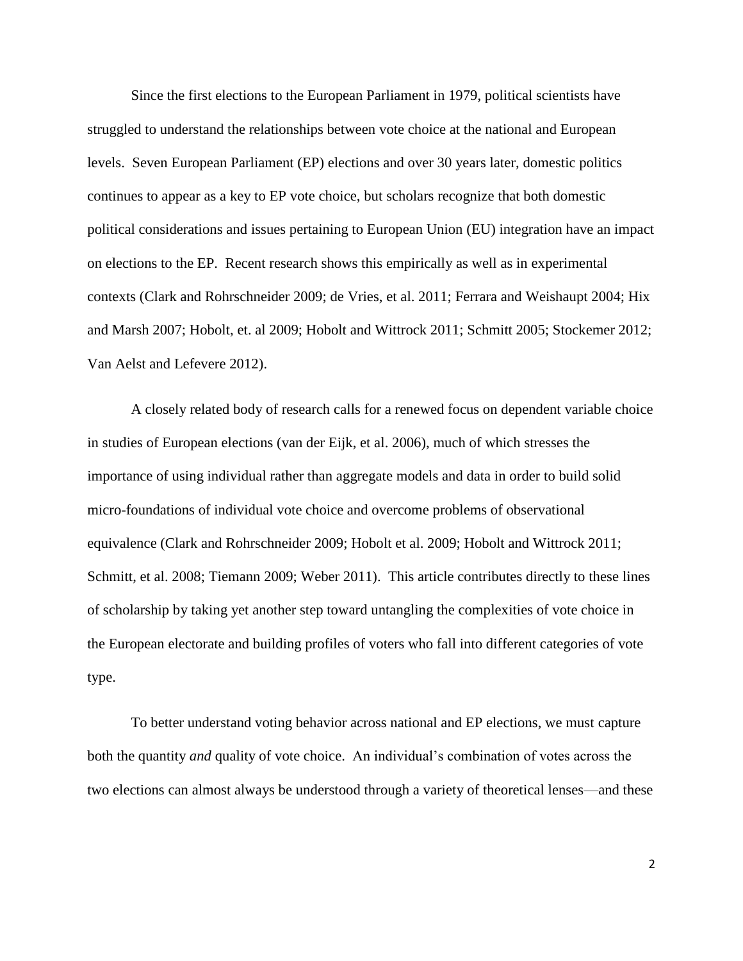Since the first elections to the European Parliament in 1979, political scientists have struggled to understand the relationships between vote choice at the national and European levels. Seven European Parliament (EP) elections and over 30 years later, domestic politics continues to appear as a key to EP vote choice, but scholars recognize that both domestic political considerations and issues pertaining to European Union (EU) integration have an impact on elections to the EP. Recent research shows this empirically as well as in experimental contexts (Clark and Rohrschneider 2009; de Vries, et al. 2011; Ferrara and Weishaupt 2004; Hix and Marsh 2007; Hobolt, et. al 2009; Hobolt and Wittrock 2011; Schmitt 2005; Stockemer 2012; Van Aelst and Lefevere 2012).

A closely related body of research calls for a renewed focus on dependent variable choice in studies of European elections (van der Eijk, et al. 2006), much of which stresses the importance of using individual rather than aggregate models and data in order to build solid micro-foundations of individual vote choice and overcome problems of observational equivalence (Clark and Rohrschneider 2009; Hobolt et al. 2009; Hobolt and Wittrock 2011; Schmitt, et al. 2008; Tiemann 2009; Weber 2011). This article contributes directly to these lines of scholarship by taking yet another step toward untangling the complexities of vote choice in the European electorate and building profiles of voters who fall into different categories of vote type.

To better understand voting behavior across national and EP elections, we must capture both the quantity *and* quality of vote choice. An individual's combination of votes across the two elections can almost always be understood through a variety of theoretical lenses—and these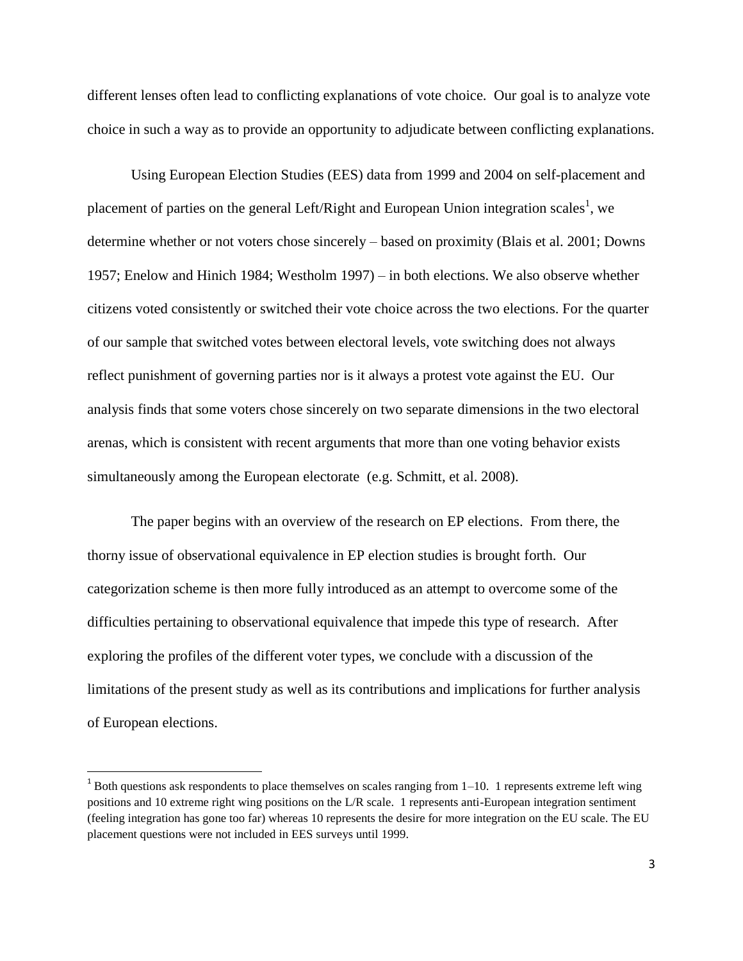different lenses often lead to conflicting explanations of vote choice. Our goal is to analyze vote choice in such a way as to provide an opportunity to adjudicate between conflicting explanations.

Using European Election Studies (EES) data from 1999 and 2004 on self-placement and placement of parties on the general Left/Right and European Union integration scales<sup>1</sup>, we determine whether or not voters chose sincerely – based on proximity (Blais et al. 2001; Downs 1957; Enelow and Hinich 1984; Westholm 1997) – in both elections. We also observe whether citizens voted consistently or switched their vote choice across the two elections. For the quarter of our sample that switched votes between electoral levels, vote switching does not always reflect punishment of governing parties nor is it always a protest vote against the EU. Our analysis finds that some voters chose sincerely on two separate dimensions in the two electoral arenas, which is consistent with recent arguments that more than one voting behavior exists simultaneously among the European electorate (e.g. Schmitt, et al. 2008).

The paper begins with an overview of the research on EP elections. From there, the thorny issue of observational equivalence in EP election studies is brought forth. Our categorization scheme is then more fully introduced as an attempt to overcome some of the difficulties pertaining to observational equivalence that impede this type of research. After exploring the profiles of the different voter types, we conclude with a discussion of the limitations of the present study as well as its contributions and implications for further analysis of European elections.

 $\overline{a}$ 

 $1$  Both questions ask respondents to place themselves on scales ranging from 1–10. 1 represents extreme left wing positions and 10 extreme right wing positions on the L/R scale. 1 represents anti-European integration sentiment (feeling integration has gone too far) whereas 10 represents the desire for more integration on the EU scale. The EU placement questions were not included in EES surveys until 1999.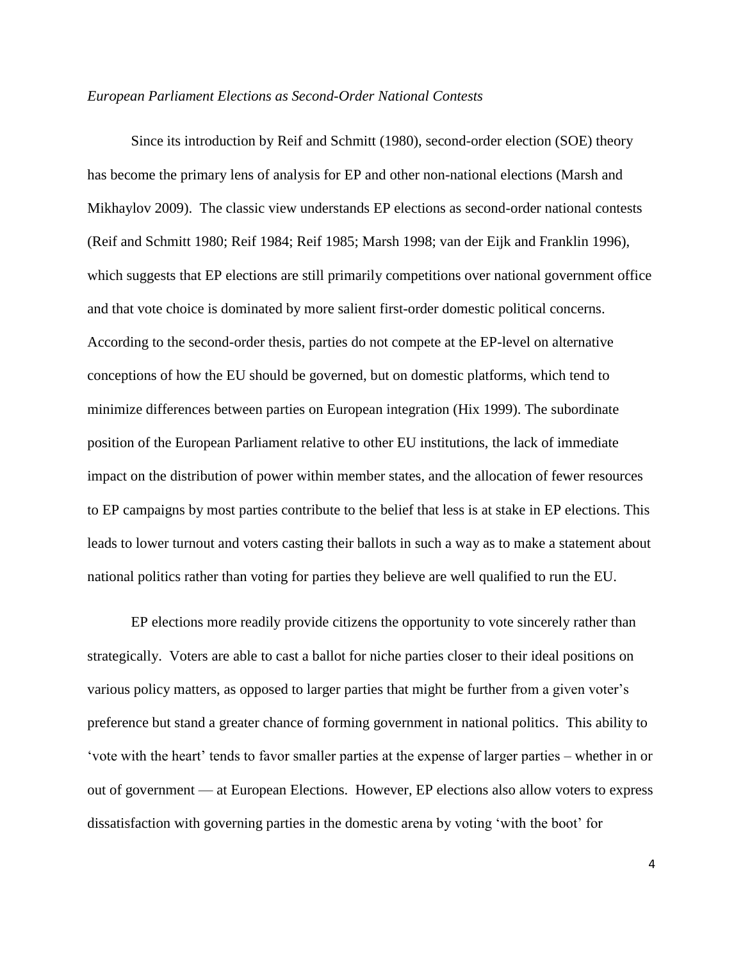## *European Parliament Elections as Second-Order National Contests*

Since its introduction by Reif and Schmitt (1980), second-order election (SOE) theory has become the primary lens of analysis for EP and other non-national elections (Marsh and Mikhaylov 2009). The classic view understands EP elections as second-order national contests (Reif and Schmitt 1980; Reif 1984; Reif 1985; Marsh 1998; van der Eijk and Franklin 1996), which suggests that EP elections are still primarily competitions over national government office and that vote choice is dominated by more salient first-order domestic political concerns. According to the second-order thesis, parties do not compete at the EP-level on alternative conceptions of how the EU should be governed, but on domestic platforms, which tend to minimize differences between parties on European integration (Hix 1999). The subordinate position of the European Parliament relative to other EU institutions, the lack of immediate impact on the distribution of power within member states, and the allocation of fewer resources to EP campaigns by most parties contribute to the belief that less is at stake in EP elections. This leads to lower turnout and voters casting their ballots in such a way as to make a statement about national politics rather than voting for parties they believe are well qualified to run the EU.

EP elections more readily provide citizens the opportunity to vote sincerely rather than strategically. Voters are able to cast a ballot for niche parties closer to their ideal positions on various policy matters, as opposed to larger parties that might be further from a given voter's preference but stand a greater chance of forming government in national politics. This ability to ‗vote with the heart' tends to favor smaller parties at the expense of larger parties – whether in or out of government — at European Elections. However, EP elections also allow voters to express dissatisfaction with governing parties in the domestic arena by voting ‗with the boot' for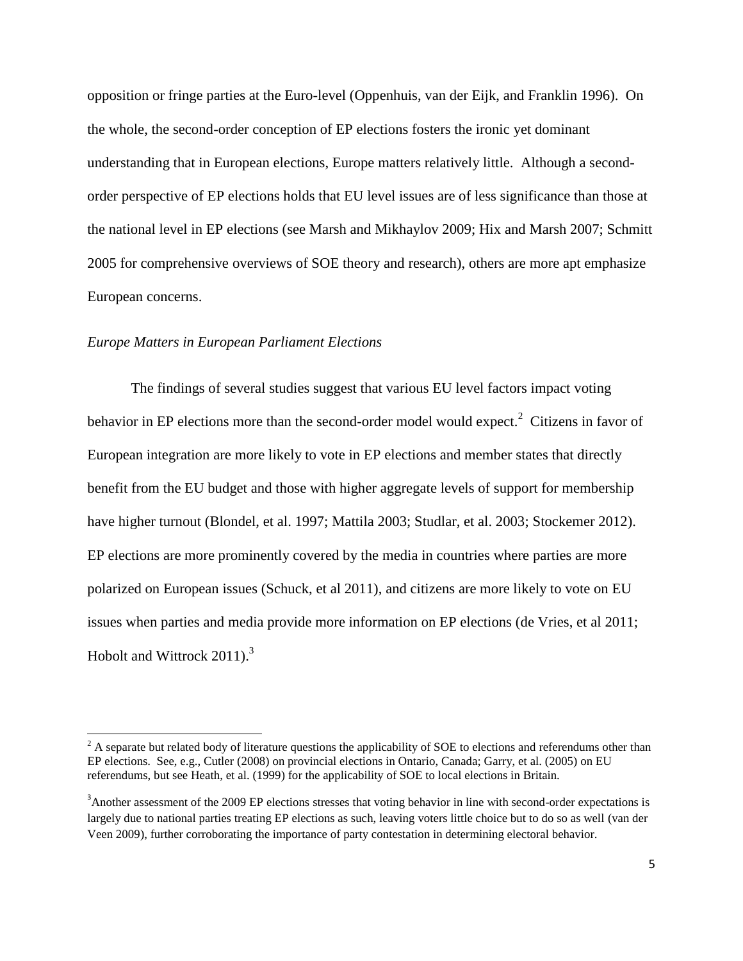opposition or fringe parties at the Euro-level (Oppenhuis, van der Eijk, and Franklin 1996). On the whole, the second-order conception of EP elections fosters the ironic yet dominant understanding that in European elections, Europe matters relatively little. Although a secondorder perspective of EP elections holds that EU level issues are of less significance than those at the national level in EP elections (see Marsh and Mikhaylov 2009; Hix and Marsh 2007; Schmitt 2005 for comprehensive overviews of SOE theory and research), others are more apt emphasize European concerns.

## *Europe Matters in European Parliament Elections*

 $\overline{\phantom{a}}$ 

The findings of several studies suggest that various EU level factors impact voting behavior in EP elections more than the second-order model would expect.<sup>2</sup> Citizens in favor of European integration are more likely to vote in EP elections and member states that directly benefit from the EU budget and those with higher aggregate levels of support for membership have higher turnout (Blondel, et al. 1997; Mattila 2003; Studlar, et al. 2003; Stockemer 2012). EP elections are more prominently covered by the media in countries where parties are more polarized on European issues (Schuck, et al 2011), and citizens are more likely to vote on EU issues when parties and media provide more information on EP elections (de Vries, et al 2011; Hobolt and Wittrock 2011).<sup>3</sup>

 $2<sup>2</sup>$  A separate but related body of literature questions the applicability of SOE to elections and referendums other than EP elections. See, e.g., Cutler (2008) on provincial elections in Ontario, Canada; Garry, et al. (2005) on EU referendums, but see Heath, et al. (1999) for the applicability of SOE to local elections in Britain.

<sup>&</sup>lt;sup>3</sup>Another assessment of the 2009 EP elections stresses that voting behavior in line with second-order expectations is largely due to national parties treating EP elections as such, leaving voters little choice but to do so as well (van der Veen 2009), further corroborating the importance of party contestation in determining electoral behavior.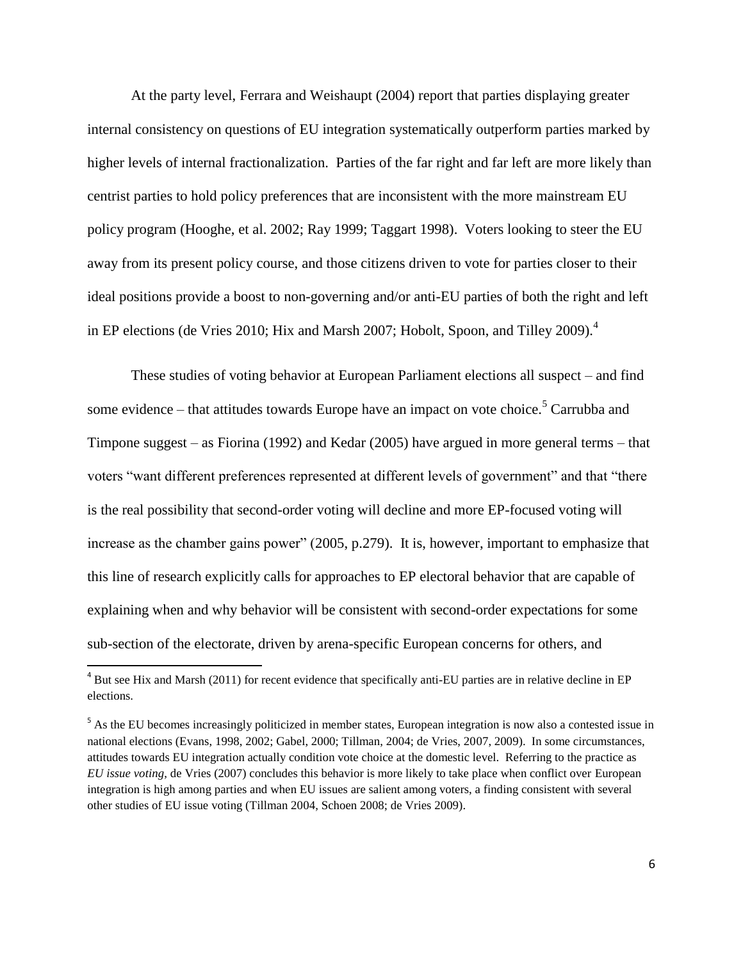At the party level, Ferrara and Weishaupt (2004) report that parties displaying greater internal consistency on questions of EU integration systematically outperform parties marked by higher levels of internal fractionalization. Parties of the far right and far left are more likely than centrist parties to hold policy preferences that are inconsistent with the more mainstream EU policy program (Hooghe, et al. 2002; Ray 1999; Taggart 1998). Voters looking to steer the EU away from its present policy course, and those citizens driven to vote for parties closer to their ideal positions provide a boost to non-governing and/or anti-EU parties of both the right and left in EP elections (de Vries 2010; Hix and Marsh 2007; Hobolt, Spoon, and Tilley 2009).<sup>4</sup>

These studies of voting behavior at European Parliament elections all suspect – and find some evidence – that attitudes towards Europe have an impact on vote choice.<sup>5</sup> Carrubba and Timpone suggest – as Fiorina (1992) and Kedar (2005) have argued in more general terms – that voters "want different preferences represented at different levels of government" and that "there is the real possibility that second-order voting will decline and more EP-focused voting will increase as the chamber gains power" (2005, p.279). It is, however, important to emphasize that this line of research explicitly calls for approaches to EP electoral behavior that are capable of explaining when and why behavior will be consistent with second-order expectations for some sub-section of the electorate, driven by arena-specific European concerns for others, and

l

<sup>&</sup>lt;sup>4</sup> But see Hix and Marsh (2011) for recent evidence that specifically anti-EU parties are in relative decline in EP elections.

<sup>&</sup>lt;sup>5</sup> As the EU becomes increasingly politicized in member states, European integration is now also a contested issue in national elections (Evans, 1998, 2002; Gabel, 2000; Tillman, 2004; de Vries, 2007, 2009). In some circumstances, attitudes towards EU integration actually condition vote choice at the domestic level. Referring to the practice as *EU issue voting*, de Vries (2007) concludes this behavior is more likely to take place when conflict over European integration is high among parties and when EU issues are salient among voters, a finding consistent with several other studies of EU issue voting (Tillman 2004, Schoen 2008; de Vries 2009).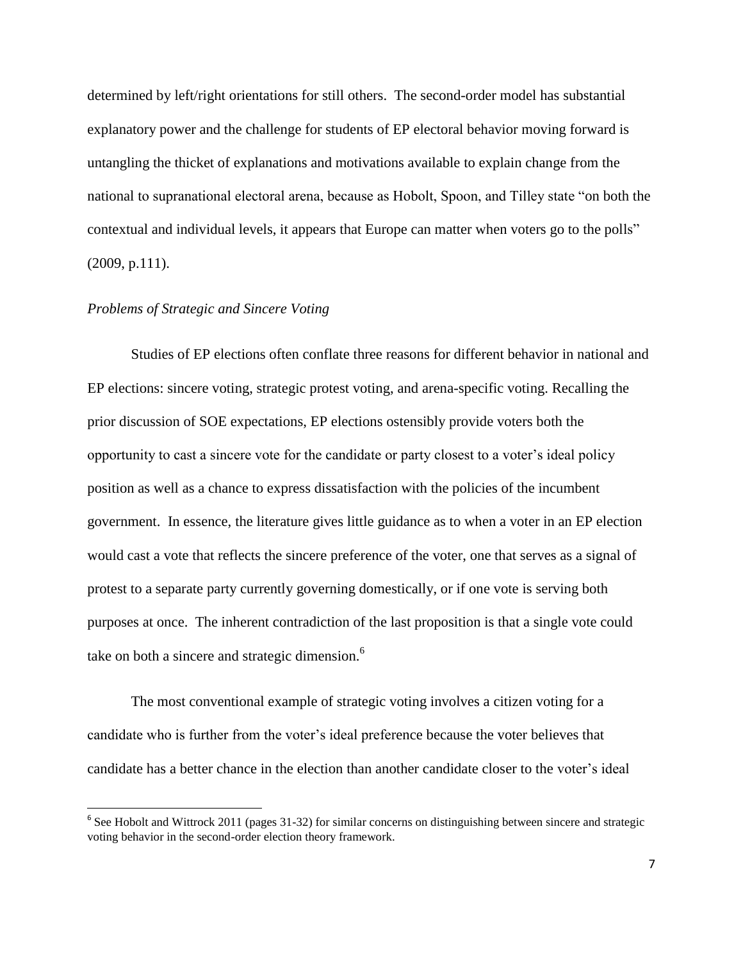determined by left/right orientations for still others. The second-order model has substantial explanatory power and the challenge for students of EP electoral behavior moving forward is untangling the thicket of explanations and motivations available to explain change from the national to supranational electoral arena, because as Hobolt, Spoon, and Tilley state "on both the contextual and individual levels, it appears that Europe can matter when voters go to the polls" (2009, p.111).

## *Problems of Strategic and Sincere Voting*

 $\overline{\phantom{a}}$ 

Studies of EP elections often conflate three reasons for different behavior in national and EP elections: sincere voting, strategic protest voting, and arena-specific voting. Recalling the prior discussion of SOE expectations, EP elections ostensibly provide voters both the opportunity to cast a sincere vote for the candidate or party closest to a voter's ideal policy position as well as a chance to express dissatisfaction with the policies of the incumbent government. In essence, the literature gives little guidance as to when a voter in an EP election would cast a vote that reflects the sincere preference of the voter, one that serves as a signal of protest to a separate party currently governing domestically, or if one vote is serving both purposes at once. The inherent contradiction of the last proposition is that a single vote could take on both a sincere and strategic dimension.<sup>6</sup>

The most conventional example of strategic voting involves a citizen voting for a candidate who is further from the voter's ideal preference because the voter believes that candidate has a better chance in the election than another candidate closer to the voter's ideal

<sup>&</sup>lt;sup>6</sup> See Hobolt and Wittrock 2011 (pages 31-32) for similar concerns on distinguishing between sincere and strategic voting behavior in the second-order election theory framework.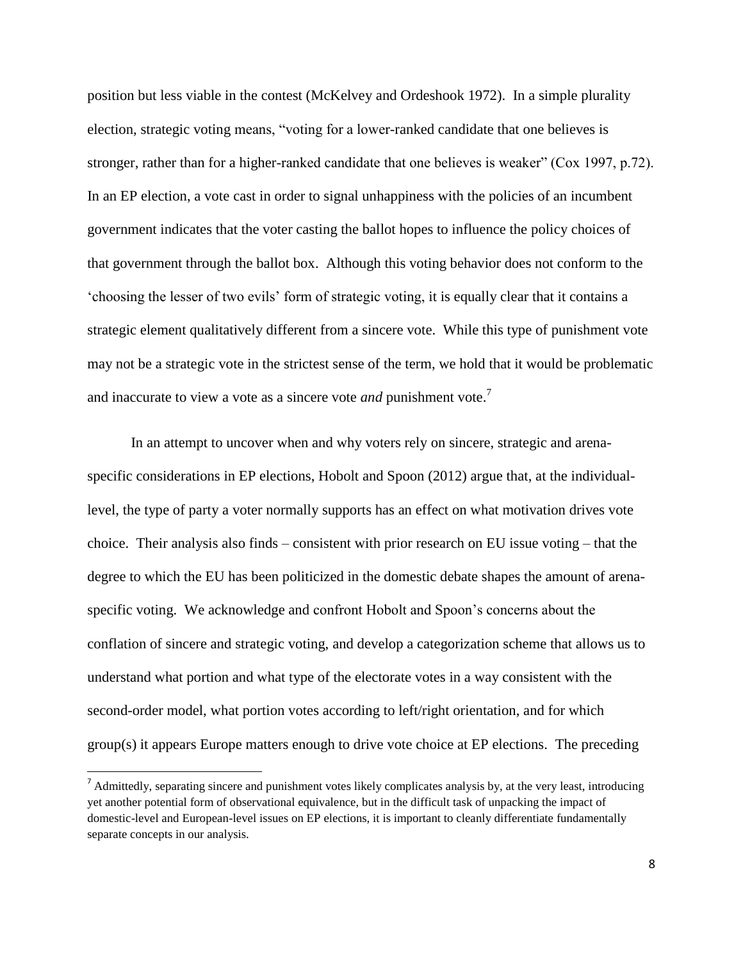position but less viable in the contest (McKelvey and Ordeshook 1972). In a simple plurality election, strategic voting means, "voting for a lower-ranked candidate that one believes is stronger, rather than for a higher-ranked candidate that one believes is weaker" (Cox 1997, p.72). In an EP election, a vote cast in order to signal unhappiness with the policies of an incumbent government indicates that the voter casting the ballot hopes to influence the policy choices of that government through the ballot box. Although this voting behavior does not conform to the ‗choosing the lesser of two evils' form of strategic voting, it is equally clear that it contains a strategic element qualitatively different from a sincere vote. While this type of punishment vote may not be a strategic vote in the strictest sense of the term, we hold that it would be problematic and inaccurate to view a vote as a sincere vote *and* punishment vote.<sup>7</sup>

In an attempt to uncover when and why voters rely on sincere, strategic and arenaspecific considerations in EP elections, Hobolt and Spoon (2012) argue that, at the individuallevel, the type of party a voter normally supports has an effect on what motivation drives vote choice. Their analysis also finds – consistent with prior research on EU issue voting – that the degree to which the EU has been politicized in the domestic debate shapes the amount of arenaspecific voting. We acknowledge and confront Hobolt and Spoon's concerns about the conflation of sincere and strategic voting, and develop a categorization scheme that allows us to understand what portion and what type of the electorate votes in a way consistent with the second-order model, what portion votes according to left/right orientation, and for which group(s) it appears Europe matters enough to drive vote choice at EP elections. The preceding

 $\overline{a}$ 

 $<sup>7</sup>$  Admittedly, separating sincere and punishment votes likely complicates analysis by, at the very least, introducing</sup> yet another potential form of observational equivalence, but in the difficult task of unpacking the impact of domestic-level and European-level issues on EP elections, it is important to cleanly differentiate fundamentally separate concepts in our analysis.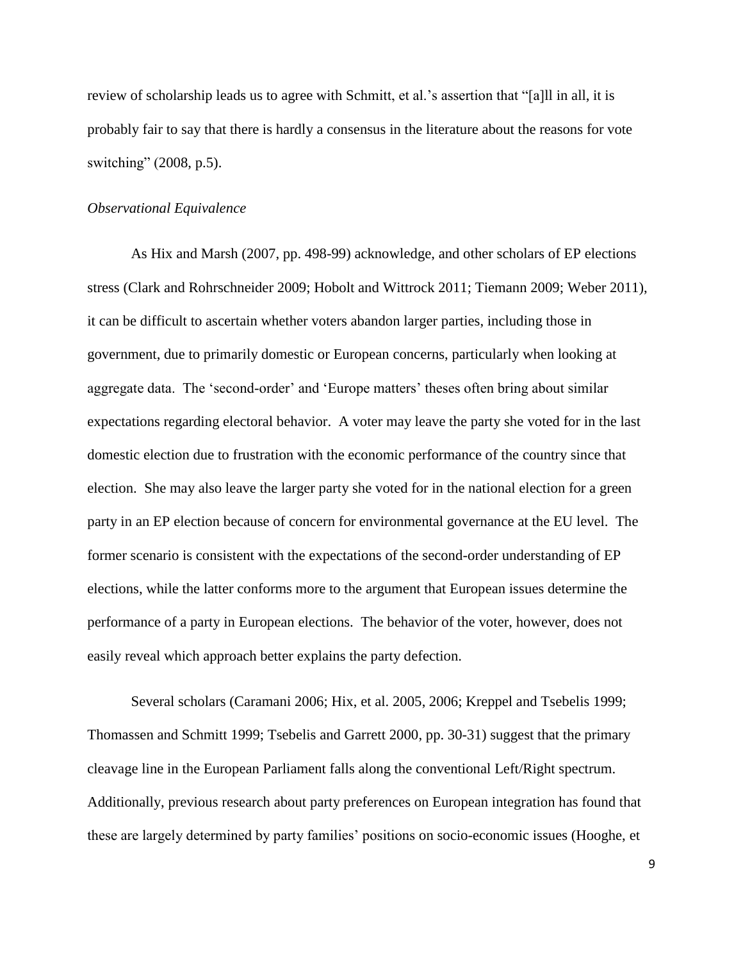review of scholarship leads us to agree with Schmitt, et al.'s assertion that "[a]ll in all, it is probably fair to say that there is hardly a consensus in the literature about the reasons for vote switching"  $(2008, p.5)$ .

## *Observational Equivalence*

As Hix and Marsh (2007, pp. 498-99) acknowledge, and other scholars of EP elections stress (Clark and Rohrschneider 2009; Hobolt and Wittrock 2011; Tiemann 2009; Weber 2011), it can be difficult to ascertain whether voters abandon larger parties, including those in government, due to primarily domestic or European concerns, particularly when looking at aggregate data. The 'second-order' and 'Europe matters' theses often bring about similar expectations regarding electoral behavior. A voter may leave the party she voted for in the last domestic election due to frustration with the economic performance of the country since that election. She may also leave the larger party she voted for in the national election for a green party in an EP election because of concern for environmental governance at the EU level. The former scenario is consistent with the expectations of the second-order understanding of EP elections, while the latter conforms more to the argument that European issues determine the performance of a party in European elections. The behavior of the voter, however, does not easily reveal which approach better explains the party defection.

Several scholars (Caramani 2006; Hix, et al. 2005, 2006; Kreppel and Tsebelis 1999; Thomassen and Schmitt 1999; Tsebelis and Garrett 2000, pp. 30-31) suggest that the primary cleavage line in the European Parliament falls along the conventional Left/Right spectrum. Additionally, previous research about party preferences on European integration has found that these are largely determined by party families' positions on socio-economic issues (Hooghe, et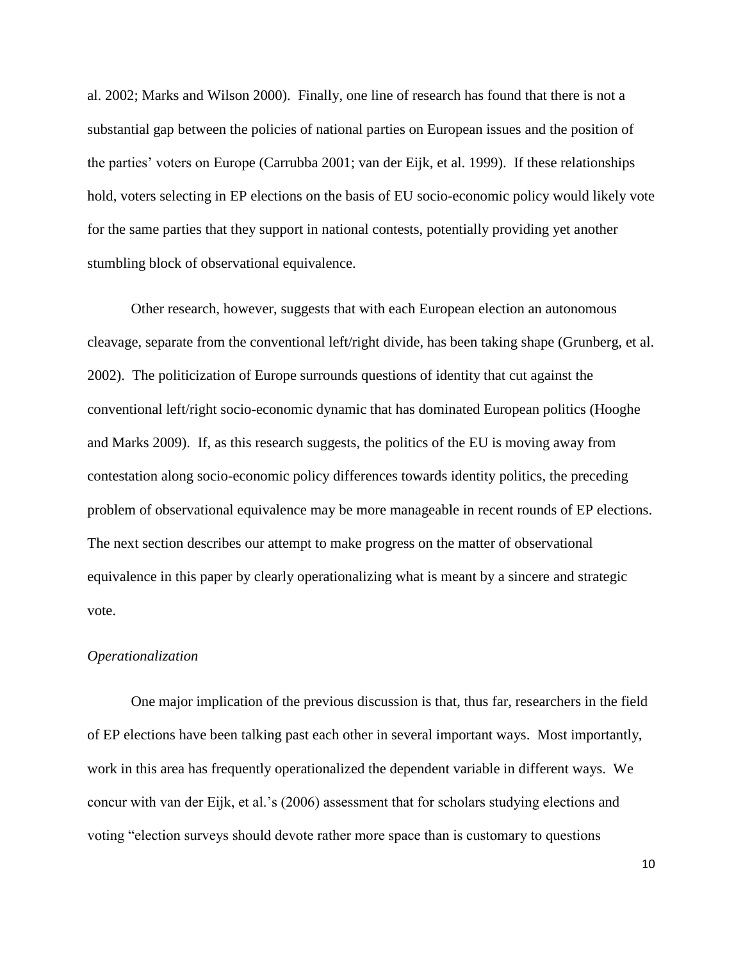al. 2002; Marks and Wilson 2000). Finally, one line of research has found that there is not a substantial gap between the policies of national parties on European issues and the position of the parties' voters on Europe (Carrubba 2001; van der Eijk, et al. 1999). If these relationships hold, voters selecting in EP elections on the basis of EU socio-economic policy would likely vote for the same parties that they support in national contests, potentially providing yet another stumbling block of observational equivalence.

Other research, however, suggests that with each European election an autonomous cleavage, separate from the conventional left/right divide, has been taking shape (Grunberg, et al. 2002). The politicization of Europe surrounds questions of identity that cut against the conventional left/right socio-economic dynamic that has dominated European politics (Hooghe and Marks 2009). If, as this research suggests, the politics of the EU is moving away from contestation along socio-economic policy differences towards identity politics, the preceding problem of observational equivalence may be more manageable in recent rounds of EP elections. The next section describes our attempt to make progress on the matter of observational equivalence in this paper by clearly operationalizing what is meant by a sincere and strategic vote.

## *Operationalization*

One major implication of the previous discussion is that, thus far, researchers in the field of EP elections have been talking past each other in several important ways. Most importantly, work in this area has frequently operationalized the dependent variable in different ways. We concur with van der Eijk, et al.'s (2006) assessment that for scholars studying elections and voting "election surveys should devote rather more space than is customary to questions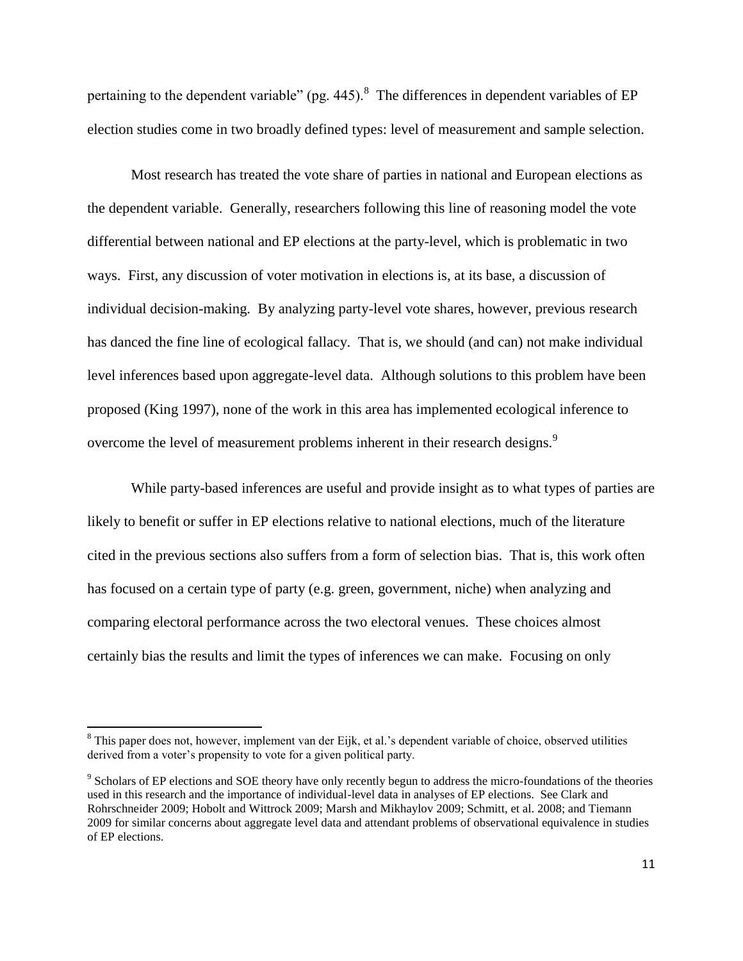pertaining to the dependent variable" (pg. 445). <sup>8</sup> The differences in dependent variables of EP election studies come in two broadly defined types: level of measurement and sample selection.

Most research has treated the vote share of parties in national and European elections as the dependent variable. Generally, researchers following this line of reasoning model the vote differential between national and EP elections at the party-level, which is problematic in two ways. First, any discussion of voter motivation in elections is, at its base, a discussion of individual decision-making. By analyzing party-level vote shares, however, previous research has danced the fine line of ecological fallacy. That is, we should (and can) not make individual level inferences based upon aggregate-level data. Although solutions to this problem have been proposed (King 1997), none of the work in this area has implemented ecological inference to overcome the level of measurement problems inherent in their research designs.<sup>9</sup>

While party-based inferences are useful and provide insight as to what types of parties are likely to benefit or suffer in EP elections relative to national elections, much of the literature cited in the previous sections also suffers from a form of selection bias. That is, this work often has focused on a certain type of party (e.g. green, government, niche) when analyzing and comparing electoral performance across the two electoral venues. These choices almost certainly bias the results and limit the types of inferences we can make. Focusing on only

 $\overline{\phantom{a}}$ 

<sup>&</sup>lt;sup>8</sup> This paper does not, however, implement van der Eijk, et al.'s dependent variable of choice, observed utilities derived from a voter's propensity to vote for a given political party.

<sup>&</sup>lt;sup>9</sup> Scholars of EP elections and SOE theory have only recently begun to address the micro-foundations of the theories used in this research and the importance of individual-level data in analyses of EP elections. See Clark and Rohrschneider 2009; Hobolt and Wittrock 2009; Marsh and Mikhaylov 2009; Schmitt, et al. 2008; and Tiemann 2009 for similar concerns about aggregate level data and attendant problems of observational equivalence in studies of EP elections.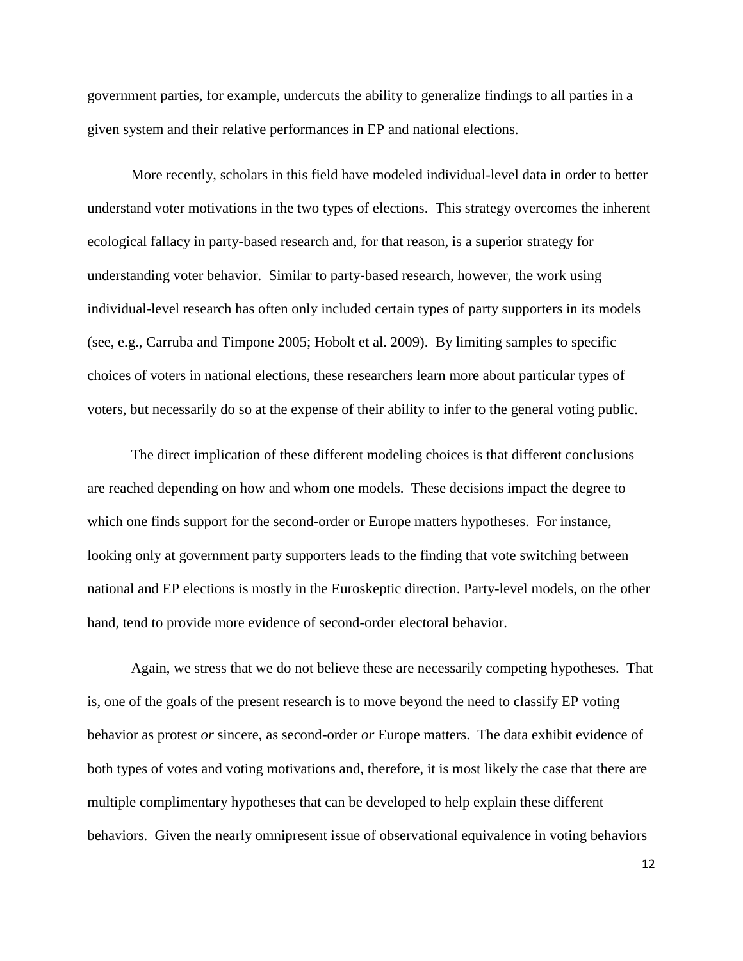government parties, for example, undercuts the ability to generalize findings to all parties in a given system and their relative performances in EP and national elections.

More recently, scholars in this field have modeled individual-level data in order to better understand voter motivations in the two types of elections. This strategy overcomes the inherent ecological fallacy in party-based research and, for that reason, is a superior strategy for understanding voter behavior. Similar to party-based research, however, the work using individual-level research has often only included certain types of party supporters in its models (see, e.g., Carruba and Timpone 2005; Hobolt et al. 2009). By limiting samples to specific choices of voters in national elections, these researchers learn more about particular types of voters, but necessarily do so at the expense of their ability to infer to the general voting public.

The direct implication of these different modeling choices is that different conclusions are reached depending on how and whom one models. These decisions impact the degree to which one finds support for the second-order or Europe matters hypotheses. For instance, looking only at government party supporters leads to the finding that vote switching between national and EP elections is mostly in the Euroskeptic direction. Party-level models, on the other hand, tend to provide more evidence of second-order electoral behavior.

Again, we stress that we do not believe these are necessarily competing hypotheses. That is, one of the goals of the present research is to move beyond the need to classify EP voting behavior as protest *or* sincere, as second-order *or* Europe matters. The data exhibit evidence of both types of votes and voting motivations and, therefore, it is most likely the case that there are multiple complimentary hypotheses that can be developed to help explain these different behaviors. Given the nearly omnipresent issue of observational equivalence in voting behaviors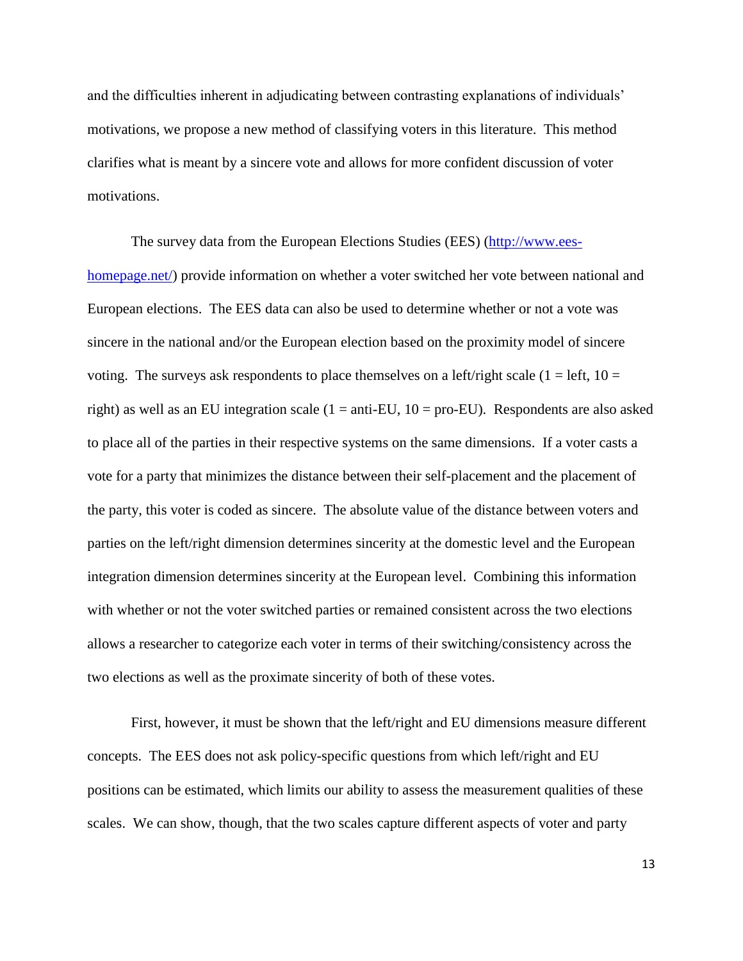and the difficulties inherent in adjudicating between contrasting explanations of individuals' motivations, we propose a new method of classifying voters in this literature. This method clarifies what is meant by a sincere vote and allows for more confident discussion of voter motivations.

The survey data from the European Elections Studies (EES) [\(http://www.ees](http://www.ees-homepage.net/)[homepage.net/\)](http://www.ees-homepage.net/) provide information on whether a voter switched her vote between national and European elections. The EES data can also be used to determine whether or not a vote was sincere in the national and/or the European election based on the proximity model of sincere voting. The surveys ask respondents to place themselves on a left/right scale ( $1 = left$ ,  $10 =$ right) as well as an EU integration scale ( $1 =$ anti-EU,  $10 =$ pro-EU). Respondents are also asked to place all of the parties in their respective systems on the same dimensions. If a voter casts a vote for a party that minimizes the distance between their self-placement and the placement of the party, this voter is coded as sincere. The absolute value of the distance between voters and parties on the left/right dimension determines sincerity at the domestic level and the European integration dimension determines sincerity at the European level. Combining this information with whether or not the voter switched parties or remained consistent across the two elections allows a researcher to categorize each voter in terms of their switching/consistency across the two elections as well as the proximate sincerity of both of these votes.

First, however, it must be shown that the left/right and EU dimensions measure different concepts. The EES does not ask policy-specific questions from which left/right and EU positions can be estimated, which limits our ability to assess the measurement qualities of these scales. We can show, though, that the two scales capture different aspects of voter and party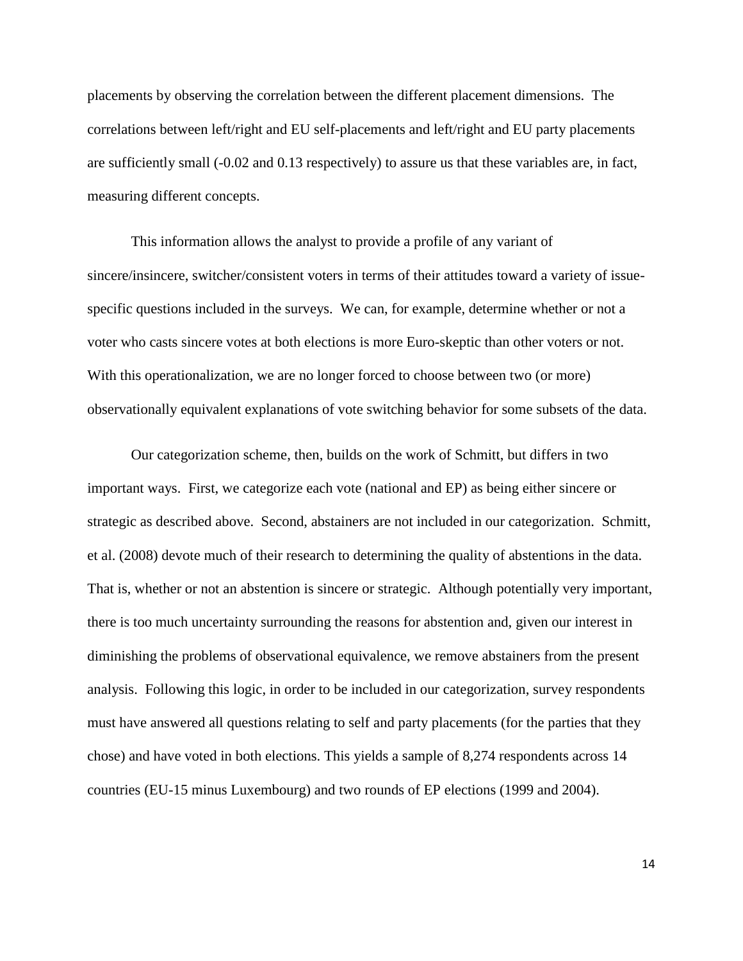placements by observing the correlation between the different placement dimensions. The correlations between left/right and EU self-placements and left/right and EU party placements are sufficiently small (-0.02 and 0.13 respectively) to assure us that these variables are, in fact, measuring different concepts.

This information allows the analyst to provide a profile of any variant of sincere/insincere, switcher/consistent voters in terms of their attitudes toward a variety of issuespecific questions included in the surveys. We can, for example, determine whether or not a voter who casts sincere votes at both elections is more Euro-skeptic than other voters or not. With this operationalization, we are no longer forced to choose between two (or more) observationally equivalent explanations of vote switching behavior for some subsets of the data.

Our categorization scheme, then, builds on the work of Schmitt, but differs in two important ways. First, we categorize each vote (national and EP) as being either sincere or strategic as described above. Second, abstainers are not included in our categorization. Schmitt, et al. (2008) devote much of their research to determining the quality of abstentions in the data. That is, whether or not an abstention is sincere or strategic. Although potentially very important, there is too much uncertainty surrounding the reasons for abstention and, given our interest in diminishing the problems of observational equivalence, we remove abstainers from the present analysis. Following this logic, in order to be included in our categorization, survey respondents must have answered all questions relating to self and party placements (for the parties that they chose) and have voted in both elections. This yields a sample of 8,274 respondents across 14 countries (EU-15 minus Luxembourg) and two rounds of EP elections (1999 and 2004).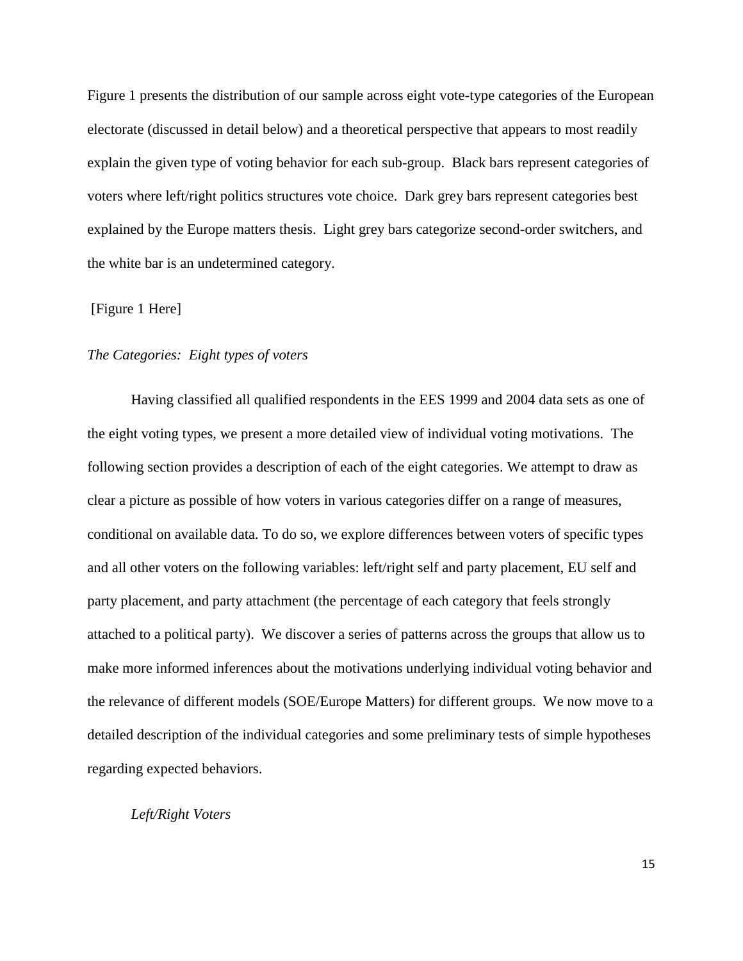Figure 1 presents the distribution of our sample across eight vote-type categories of the European electorate (discussed in detail below) and a theoretical perspective that appears to most readily explain the given type of voting behavior for each sub-group. Black bars represent categories of voters where left/right politics structures vote choice. Dark grey bars represent categories best explained by the Europe matters thesis. Light grey bars categorize second-order switchers, and the white bar is an undetermined category.

## [Figure 1 Here]

## *The Categories: Eight types of voters*

Having classified all qualified respondents in the EES 1999 and 2004 data sets as one of the eight voting types, we present a more detailed view of individual voting motivations. The following section provides a description of each of the eight categories. We attempt to draw as clear a picture as possible of how voters in various categories differ on a range of measures, conditional on available data. To do so, we explore differences between voters of specific types and all other voters on the following variables: left/right self and party placement, EU self and party placement, and party attachment (the percentage of each category that feels strongly attached to a political party). We discover a series of patterns across the groups that allow us to make more informed inferences about the motivations underlying individual voting behavior and the relevance of different models (SOE/Europe Matters) for different groups. We now move to a detailed description of the individual categories and some preliminary tests of simple hypotheses regarding expected behaviors.

## *Left/Right Voters*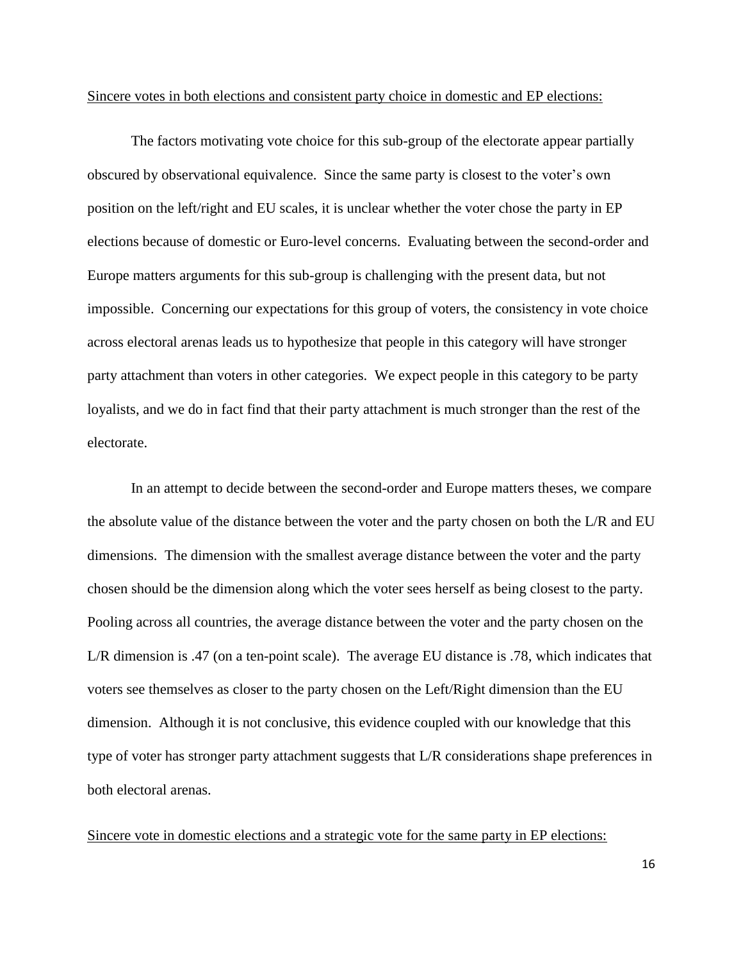## Sincere votes in both elections and consistent party choice in domestic and EP elections:

The factors motivating vote choice for this sub-group of the electorate appear partially obscured by observational equivalence. Since the same party is closest to the voter's own position on the left/right and EU scales, it is unclear whether the voter chose the party in EP elections because of domestic or Euro-level concerns. Evaluating between the second-order and Europe matters arguments for this sub-group is challenging with the present data, but not impossible. Concerning our expectations for this group of voters, the consistency in vote choice across electoral arenas leads us to hypothesize that people in this category will have stronger party attachment than voters in other categories. We expect people in this category to be party loyalists, and we do in fact find that their party attachment is much stronger than the rest of the electorate.

In an attempt to decide between the second-order and Europe matters theses, we compare the absolute value of the distance between the voter and the party chosen on both the L/R and EU dimensions. The dimension with the smallest average distance between the voter and the party chosen should be the dimension along which the voter sees herself as being closest to the party. Pooling across all countries, the average distance between the voter and the party chosen on the L/R dimension is .47 (on a ten-point scale). The average EU distance is .78, which indicates that voters see themselves as closer to the party chosen on the Left/Right dimension than the EU dimension. Although it is not conclusive, this evidence coupled with our knowledge that this type of voter has stronger party attachment suggests that L/R considerations shape preferences in both electoral arenas.

Sincere vote in domestic elections and a strategic vote for the same party in EP elections: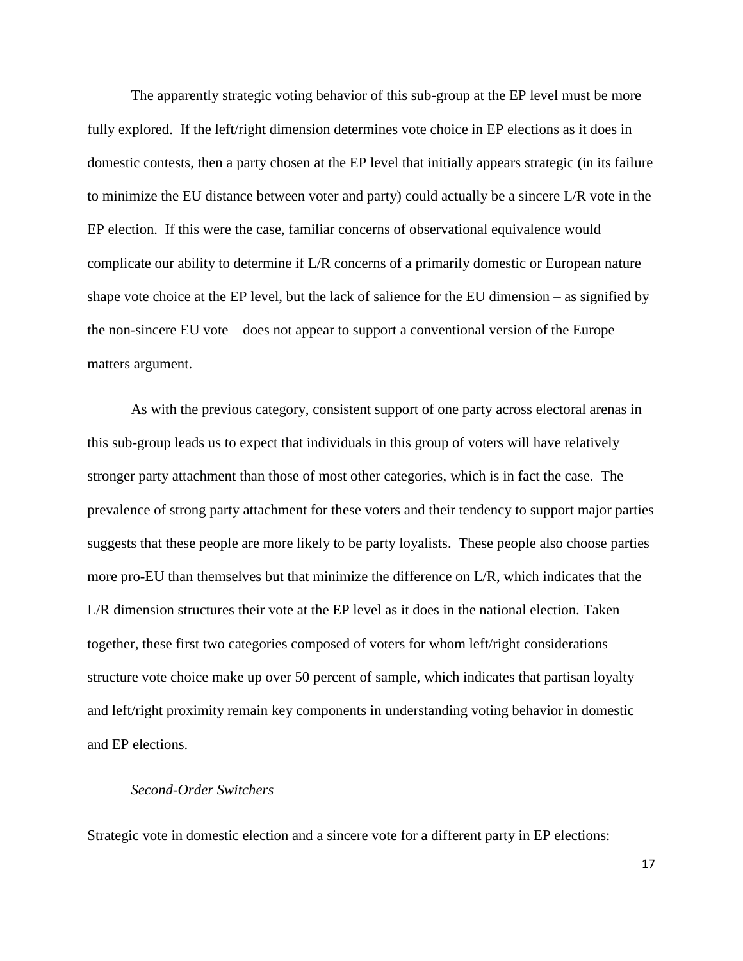The apparently strategic voting behavior of this sub-group at the EP level must be more fully explored. If the left/right dimension determines vote choice in EP elections as it does in domestic contests, then a party chosen at the EP level that initially appears strategic (in its failure to minimize the EU distance between voter and party) could actually be a sincere L/R vote in the EP election. If this were the case, familiar concerns of observational equivalence would complicate our ability to determine if L/R concerns of a primarily domestic or European nature shape vote choice at the EP level, but the lack of salience for the EU dimension – as signified by the non-sincere EU vote – does not appear to support a conventional version of the Europe matters argument.

As with the previous category, consistent support of one party across electoral arenas in this sub-group leads us to expect that individuals in this group of voters will have relatively stronger party attachment than those of most other categories, which is in fact the case. The prevalence of strong party attachment for these voters and their tendency to support major parties suggests that these people are more likely to be party loyalists. These people also choose parties more pro-EU than themselves but that minimize the difference on L/R, which indicates that the L/R dimension structures their vote at the EP level as it does in the national election. Taken together, these first two categories composed of voters for whom left/right considerations structure vote choice make up over 50 percent of sample, which indicates that partisan loyalty and left/right proximity remain key components in understanding voting behavior in domestic and EP elections.

## *Second-Order Switchers*

Strategic vote in domestic election and a sincere vote for a different party in EP elections: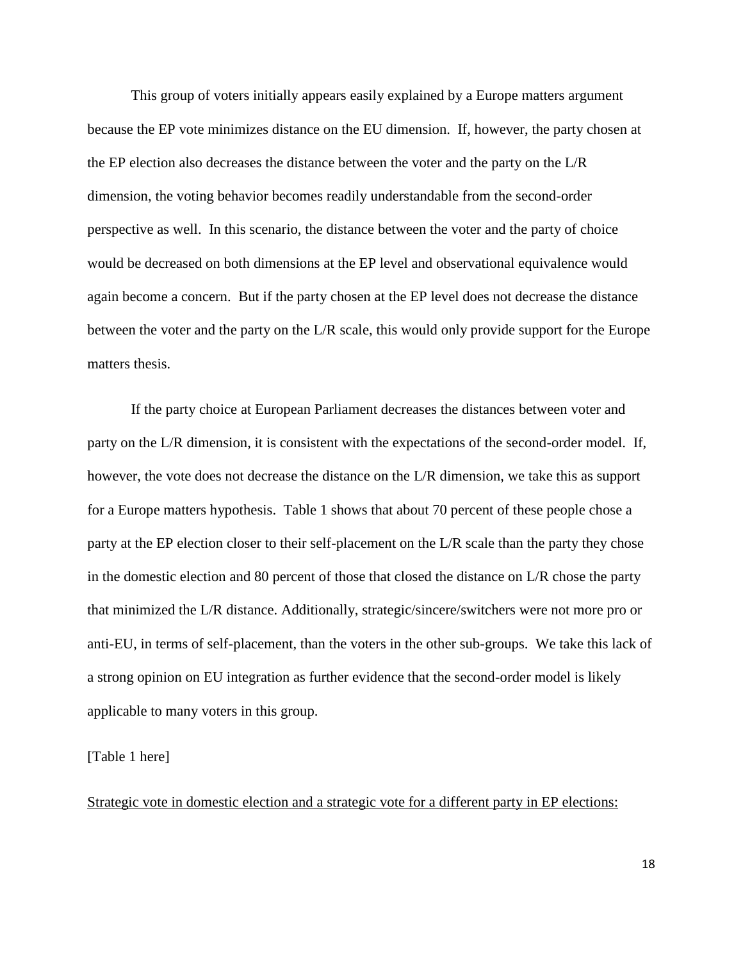This group of voters initially appears easily explained by a Europe matters argument because the EP vote minimizes distance on the EU dimension. If, however, the party chosen at the EP election also decreases the distance between the voter and the party on the L/R dimension, the voting behavior becomes readily understandable from the second-order perspective as well. In this scenario, the distance between the voter and the party of choice would be decreased on both dimensions at the EP level and observational equivalence would again become a concern. But if the party chosen at the EP level does not decrease the distance between the voter and the party on the L/R scale, this would only provide support for the Europe matters thesis.

If the party choice at European Parliament decreases the distances between voter and party on the L/R dimension, it is consistent with the expectations of the second-order model. If, however, the vote does not decrease the distance on the L/R dimension, we take this as support for a Europe matters hypothesis. Table 1 shows that about 70 percent of these people chose a party at the EP election closer to their self-placement on the L/R scale than the party they chose in the domestic election and 80 percent of those that closed the distance on L/R chose the party that minimized the L/R distance. Additionally, strategic/sincere/switchers were not more pro or anti-EU, in terms of self-placement, than the voters in the other sub-groups. We take this lack of a strong opinion on EU integration as further evidence that the second-order model is likely applicable to many voters in this group.

#### [Table 1 here]

Strategic vote in domestic election and a strategic vote for a different party in EP elections: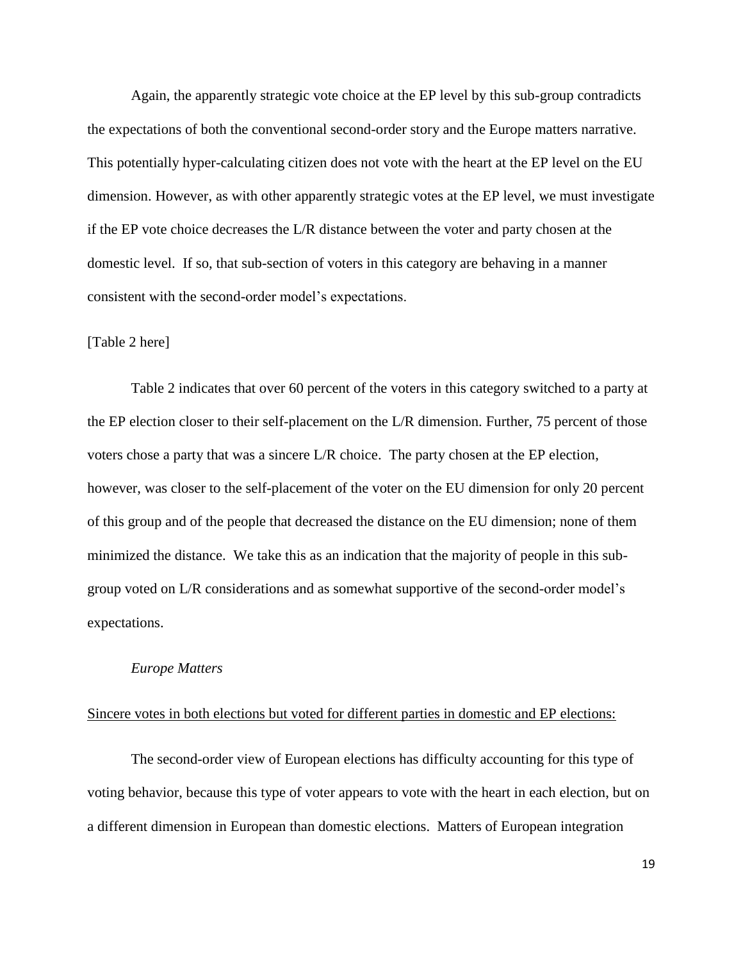Again, the apparently strategic vote choice at the EP level by this sub-group contradicts the expectations of both the conventional second-order story and the Europe matters narrative. This potentially hyper-calculating citizen does not vote with the heart at the EP level on the EU dimension. However, as with other apparently strategic votes at the EP level, we must investigate if the EP vote choice decreases the L/R distance between the voter and party chosen at the domestic level. If so, that sub-section of voters in this category are behaving in a manner consistent with the second-order model's expectations.

#### [Table 2 here]

Table 2 indicates that over 60 percent of the voters in this category switched to a party at the EP election closer to their self-placement on the L/R dimension. Further, 75 percent of those voters chose a party that was a sincere L/R choice. The party chosen at the EP election, however, was closer to the self-placement of the voter on the EU dimension for only 20 percent of this group and of the people that decreased the distance on the EU dimension; none of them minimized the distance. We take this as an indication that the majority of people in this subgroup voted on L/R considerations and as somewhat supportive of the second-order model's expectations.

#### *Europe Matters*

## Sincere votes in both elections but voted for different parties in domestic and EP elections:

The second-order view of European elections has difficulty accounting for this type of voting behavior, because this type of voter appears to vote with the heart in each election, but on a different dimension in European than domestic elections. Matters of European integration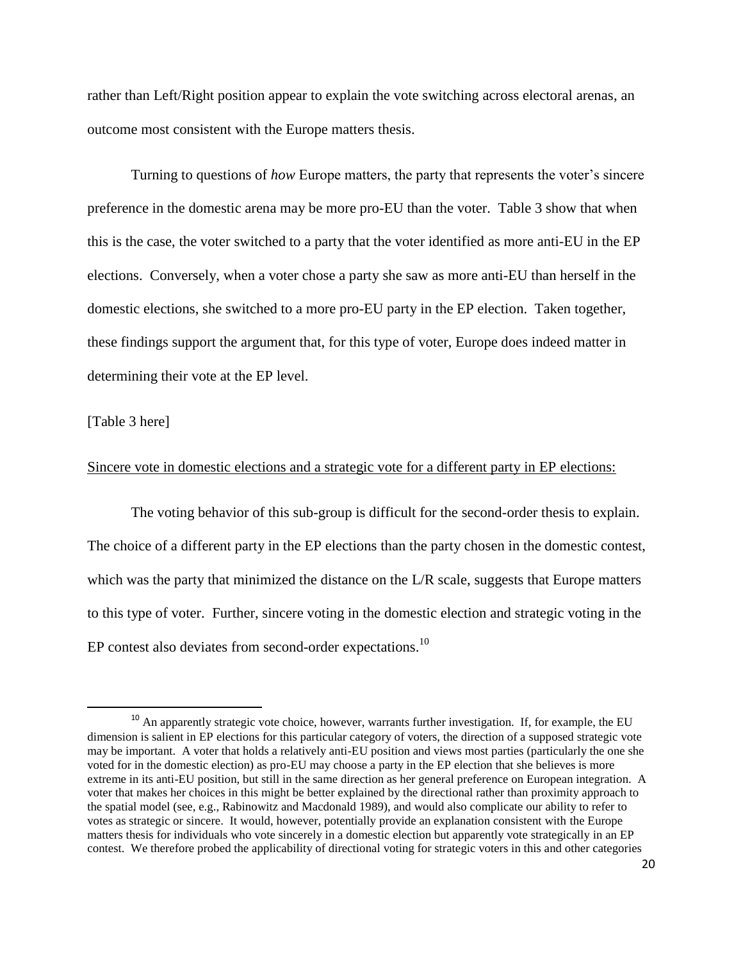rather than Left/Right position appear to explain the vote switching across electoral arenas, an outcome most consistent with the Europe matters thesis.

Turning to questions of *how* Europe matters, the party that represents the voter's sincere preference in the domestic arena may be more pro-EU than the voter. Table 3 show that when this is the case, the voter switched to a party that the voter identified as more anti-EU in the EP elections. Conversely, when a voter chose a party she saw as more anti-EU than herself in the domestic elections, she switched to a more pro-EU party in the EP election. Taken together, these findings support the argument that, for this type of voter, Europe does indeed matter in determining their vote at the EP level.

## [Table 3 here]

 $\overline{\phantom{a}}$ 

## Sincere vote in domestic elections and a strategic vote for a different party in EP elections:

The voting behavior of this sub-group is difficult for the second-order thesis to explain. The choice of a different party in the EP elections than the party chosen in the domestic contest, which was the party that minimized the distance on the L/R scale, suggests that Europe matters to this type of voter. Further, sincere voting in the domestic election and strategic voting in the EP contest also deviates from second-order expectations.<sup>10</sup>

<sup>&</sup>lt;sup>10</sup> An apparently strategic vote choice, however, warrants further investigation. If, for example, the EU dimension is salient in EP elections for this particular category of voters, the direction of a supposed strategic vote may be important. A voter that holds a relatively anti-EU position and views most parties (particularly the one she voted for in the domestic election) as pro-EU may choose a party in the EP election that she believes is more extreme in its anti-EU position, but still in the same direction as her general preference on European integration. A voter that makes her choices in this might be better explained by the directional rather than proximity approach to the spatial model (see, e.g., Rabinowitz and Macdonald 1989), and would also complicate our ability to refer to votes as strategic or sincere. It would, however, potentially provide an explanation consistent with the Europe matters thesis for individuals who vote sincerely in a domestic election but apparently vote strategically in an EP contest. We therefore probed the applicability of directional voting for strategic voters in this and other categories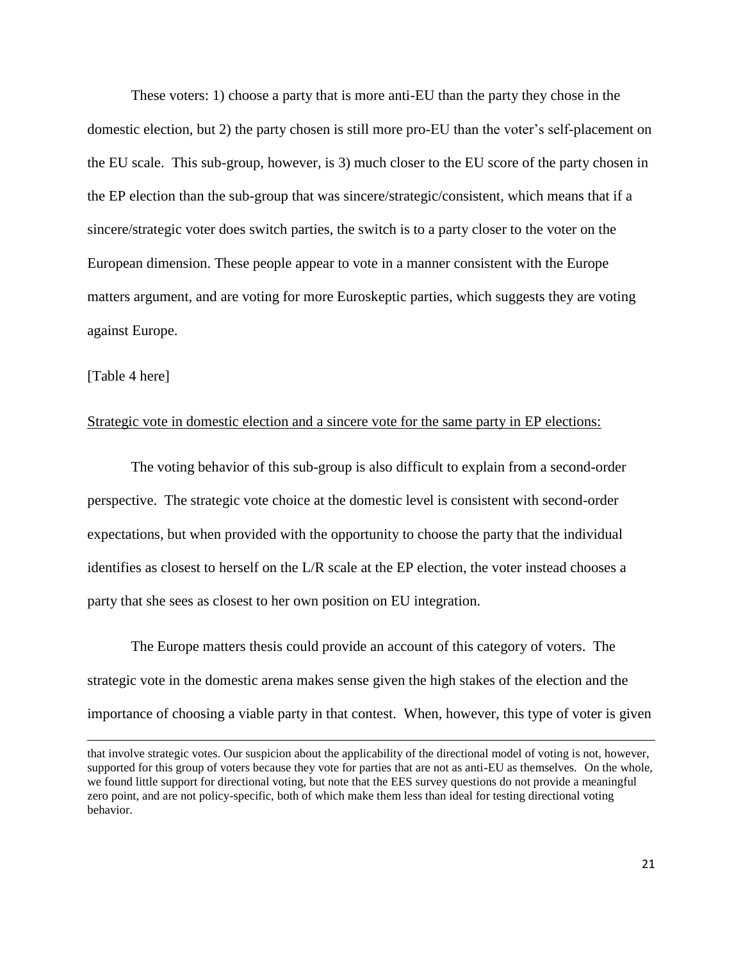These voters: 1) choose a party that is more anti-EU than the party they chose in the domestic election, but 2) the party chosen is still more pro-EU than the voter's self-placement on the EU scale. This sub-group, however, is 3) much closer to the EU score of the party chosen in the EP election than the sub-group that was sincere/strategic/consistent, which means that if a sincere/strategic voter does switch parties, the switch is to a party closer to the voter on the European dimension. These people appear to vote in a manner consistent with the Europe matters argument, and are voting for more Euroskeptic parties, which suggests they are voting against Europe.

## [Table 4 here]

 $\overline{\phantom{a}}$ 

## Strategic vote in domestic election and a sincere vote for the same party in EP elections:

The voting behavior of this sub-group is also difficult to explain from a second-order perspective. The strategic vote choice at the domestic level is consistent with second-order expectations, but when provided with the opportunity to choose the party that the individual identifies as closest to herself on the L/R scale at the EP election, the voter instead chooses a party that she sees as closest to her own position on EU integration.

The Europe matters thesis could provide an account of this category of voters. The strategic vote in the domestic arena makes sense given the high stakes of the election and the importance of choosing a viable party in that contest. When, however, this type of voter is given

that involve strategic votes. Our suspicion about the applicability of the directional model of voting is not, however, supported for this group of voters because they vote for parties that are not as anti-EU as themselves. On the whole, we found little support for directional voting, but note that the EES survey questions do not provide a meaningful zero point, and are not policy-specific, both of which make them less than ideal for testing directional voting behavior.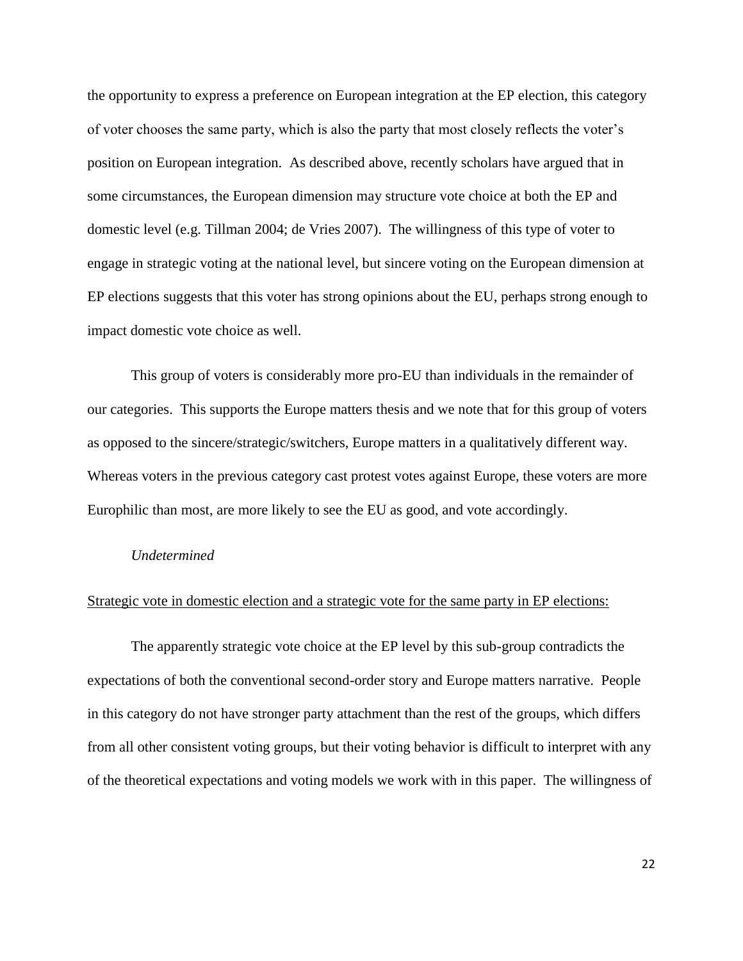the opportunity to express a preference on European integration at the EP election, this category of voter chooses the same party, which is also the party that most closely reflects the voter's position on European integration. As described above, recently scholars have argued that in some circumstances, the European dimension may structure vote choice at both the EP and domestic level (e.g. Tillman 2004; de Vries 2007). The willingness of this type of voter to engage in strategic voting at the national level, but sincere voting on the European dimension at EP elections suggests that this voter has strong opinions about the EU, perhaps strong enough to impact domestic vote choice as well.

This group of voters is considerably more pro-EU than individuals in the remainder of our categories. This supports the Europe matters thesis and we note that for this group of voters as opposed to the sincere/strategic/switchers, Europe matters in a qualitatively different way. Whereas voters in the previous category cast protest votes against Europe, these voters are more Europhilic than most, are more likely to see the EU as good, and vote accordingly.

#### *Undetermined*

#### Strategic vote in domestic election and a strategic vote for the same party in EP elections:

The apparently strategic vote choice at the EP level by this sub-group contradicts the expectations of both the conventional second-order story and Europe matters narrative. People in this category do not have stronger party attachment than the rest of the groups, which differs from all other consistent voting groups, but their voting behavior is difficult to interpret with any of the theoretical expectations and voting models we work with in this paper. The willingness of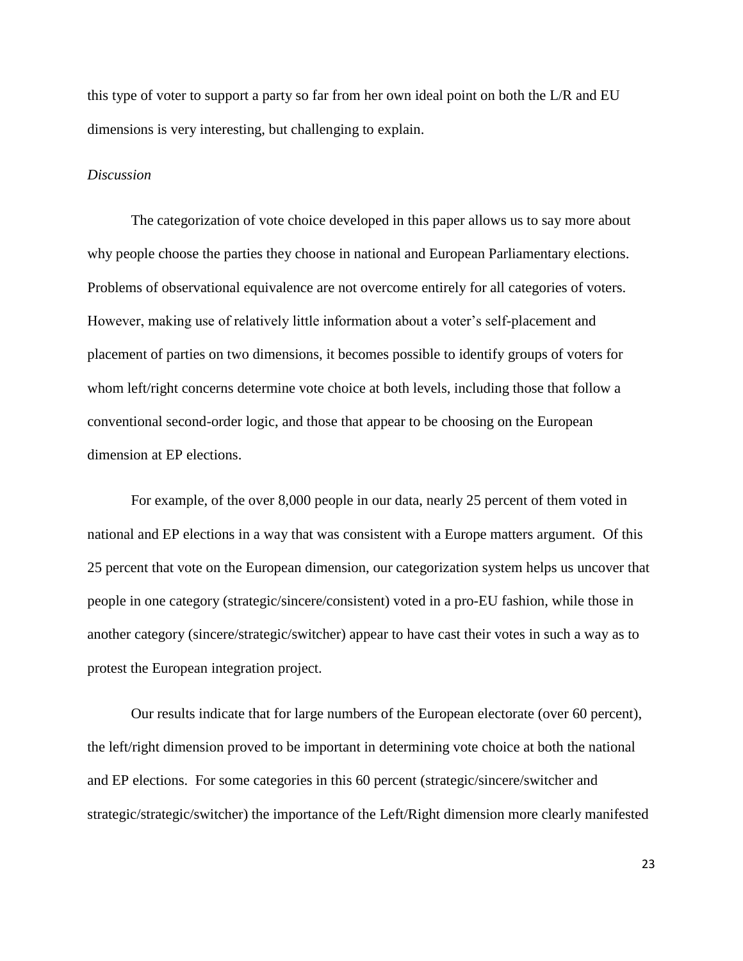this type of voter to support a party so far from her own ideal point on both the L/R and EU dimensions is very interesting, but challenging to explain.

## *Discussion*

The categorization of vote choice developed in this paper allows us to say more about why people choose the parties they choose in national and European Parliamentary elections. Problems of observational equivalence are not overcome entirely for all categories of voters. However, making use of relatively little information about a voter's self-placement and placement of parties on two dimensions, it becomes possible to identify groups of voters for whom left/right concerns determine vote choice at both levels, including those that follow a conventional second-order logic, and those that appear to be choosing on the European dimension at EP elections.

For example, of the over 8,000 people in our data, nearly 25 percent of them voted in national and EP elections in a way that was consistent with a Europe matters argument. Of this 25 percent that vote on the European dimension, our categorization system helps us uncover that people in one category (strategic/sincere/consistent) voted in a pro-EU fashion, while those in another category (sincere/strategic/switcher) appear to have cast their votes in such a way as to protest the European integration project.

Our results indicate that for large numbers of the European electorate (over 60 percent), the left/right dimension proved to be important in determining vote choice at both the national and EP elections. For some categories in this 60 percent (strategic/sincere/switcher and strategic/strategic/switcher) the importance of the Left/Right dimension more clearly manifested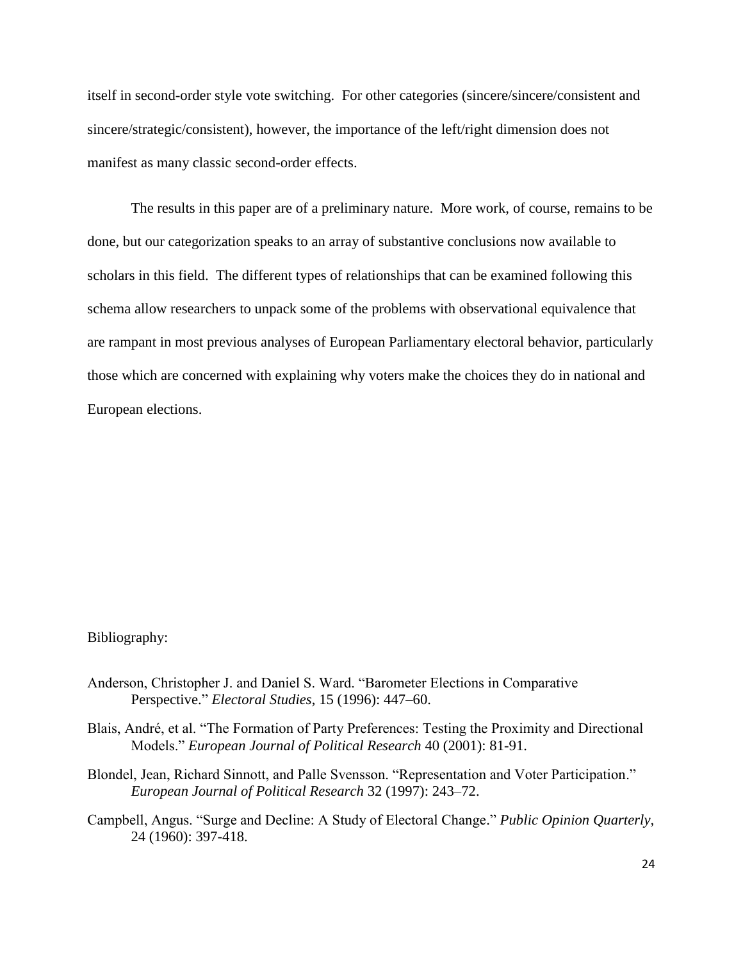itself in second-order style vote switching. For other categories (sincere/sincere/consistent and sincere/strategic/consistent), however, the importance of the left/right dimension does not manifest as many classic second-order effects.

The results in this paper are of a preliminary nature. More work, of course, remains to be done, but our categorization speaks to an array of substantive conclusions now available to scholars in this field. The different types of relationships that can be examined following this schema allow researchers to unpack some of the problems with observational equivalence that are rampant in most previous analyses of European Parliamentary electoral behavior, particularly those which are concerned with explaining why voters make the choices they do in national and European elections.

#### Bibliography:

- Anderson, Christopher J. and Daniel S. Ward. "Barometer Elections in Comparative Perspective." *Electoral Studies*, 15 (1996): 447–60.
- Blais, André, et al. "The Formation of Party Preferences: Testing the Proximity and Directional Models.‖ *European Journal of Political Research* 40 (2001): 81-91.
- Blondel, Jean, Richard Sinnott, and Palle Svensson. "Representation and Voter Participation." *European Journal of Political Research* 32 (1997): 243–72.
- Campbell, Angus. "Surge and Decline: A Study of Electoral Change." *Public Opinion Quarterly,* 24 (1960): 397-418.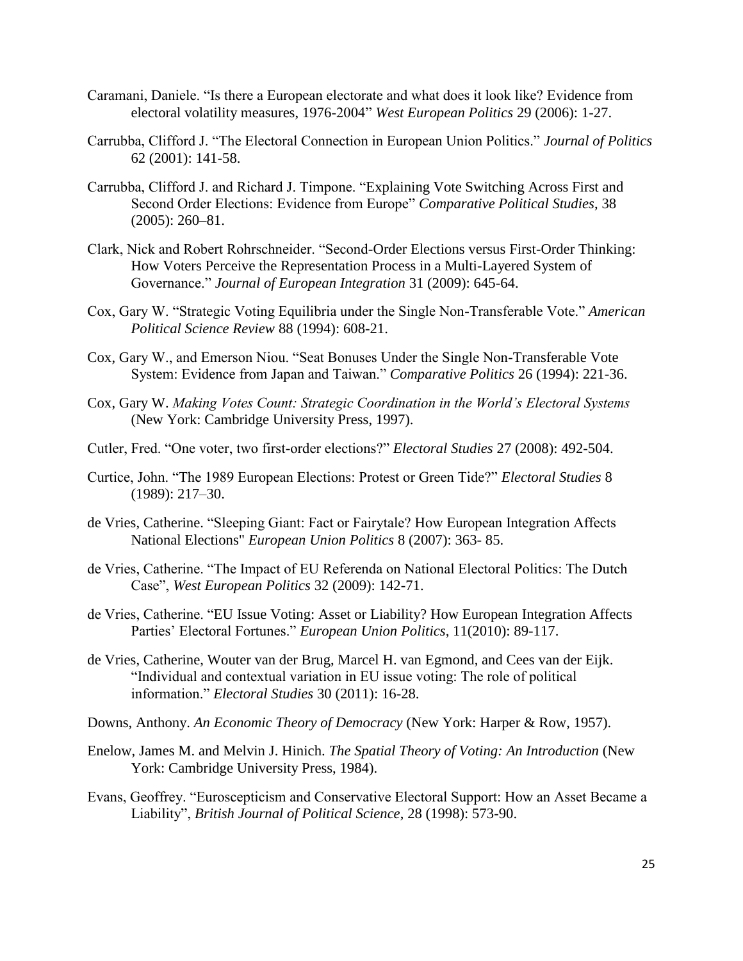- Caramani, Daniele. "Is there a European electorate and what does it look like? Evidence from electoral volatility measures, 1976-2004" *West European Politics* 29 (2006): 1-27.
- Carrubba, Clifford J. "The Electoral Connection in European Union Politics." *Journal of Politics* 62 (2001): 141-58.
- Carrubba, Clifford J. and Richard J. Timpone. "Explaining Vote Switching Across First and Second Order Elections: Evidence from Europe" *Comparative Political Studies*, 38 (2005): 260–81.
- Clark, Nick and Robert Rohrschneider. "Second-Order Elections versus First-Order Thinking: How Voters Perceive the Representation Process in a Multi-Layered System of Governance.‖ *Journal of European Integration* 31 (2009): 645-64.
- Cox, Gary W. "Strategic Voting Equilibria under the Single Non-Transferable Vote." American *Political Science Review* 88 (1994): 608-21.
- Cox, Gary W., and Emerson Niou. "Seat Bonuses Under the Single Non-Transferable Vote System: Evidence from Japan and Taiwan." *Comparative Politics* 26 (1994): 221-36.
- Cox, Gary W. *Making Votes Count: Strategic Coordination in the World's Electoral Systems* (New York: Cambridge University Press, 1997).
- Cutler, Fred. "One voter, two first-order elections?" *Electoral Studies* 27 (2008): 492-504.
- Curtice, John. ―The 1989 European Elections: Protest or Green Tide?‖ *Electoral Studies* 8 (1989): 217–30.
- de Vries, Catherine. "Sleeping Giant: Fact or Fairytale? How European Integration Affects National Elections" *European Union Politics* 8 (2007): 363- 85.
- de Vries, Catherine. "The Impact of EU Referenda on National Electoral Politics: The Dutch Case‖, *West European Politics* 32 (2009): 142-71.
- de Vries, Catherine. "EU Issue Voting: Asset or Liability? How European Integration Affects Parties' Electoral Fortunes." *European Union Politics*, 11(2010): 89-117.
- de Vries, Catherine, Wouter van der Brug, Marcel H. van Egmond, and Cees van der Eijk. "Individual and contextual variation in EU issue voting: The role of political information.‖ *Electoral Studies* 30 (2011): 16-28.
- Downs, Anthony. *An Economic Theory of Democracy* (New York: Harper & Row, 1957).
- Enelow, James M. and Melvin J. Hinich. *The Spatial Theory of Voting: An Introduction* (New York: Cambridge University Press, 1984).
- Evans, Geoffrey. "Euroscepticism and Conservative Electoral Support: How an Asset Became a Liability", *British Journal of Political Science*, 28 (1998): 573-90.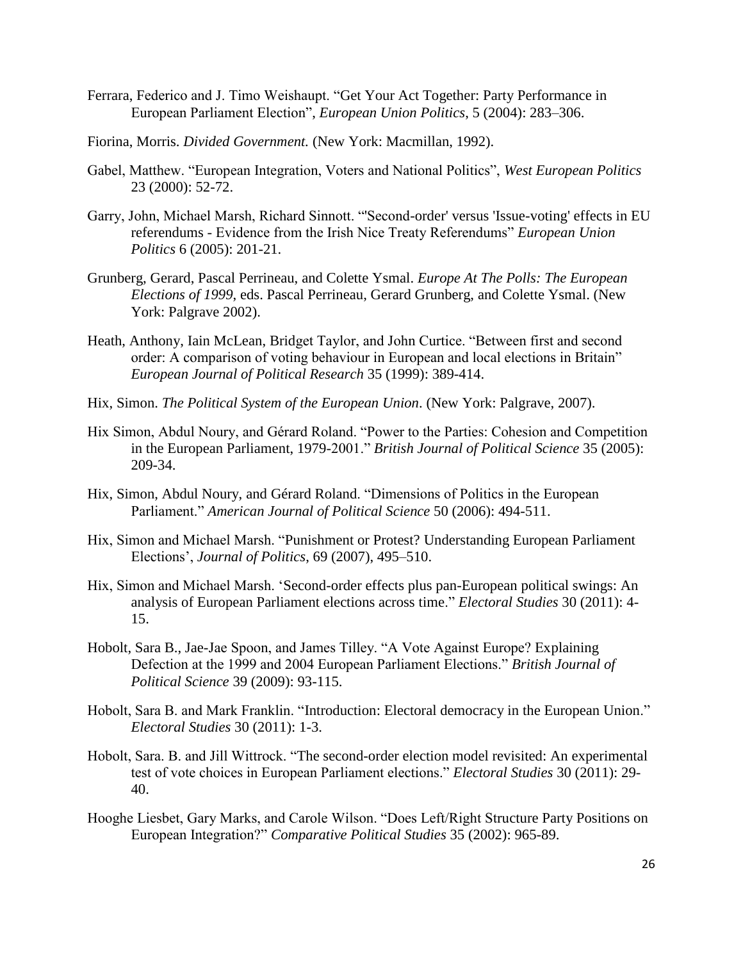- Ferrara, Federico and J. Timo Weishaupt. "Get Your Act Together: Party Performance in European Parliament Election", *European Union Politics*, 5 (2004): 283–306.
- Fiorina, Morris. *Divided Government.* (New York: Macmillan, 1992).
- Gabel, Matthew. "European Integration, Voters and National Politics", *West European Politics* 23 (2000): 52-72.
- Garry, John, Michael Marsh, Richard Sinnott. "Second-order' versus 'Issue-voting' effects in EU referendums - Evidence from the Irish Nice Treaty Referendums" *European Union Politics* 6 (2005): 201-21.
- Grunberg, Gerard, Pascal Perrineau, and Colette Ysmal. *Europe At The Polls: The European Elections of 1999*, eds. Pascal Perrineau, Gerard Grunberg, and Colette Ysmal. (New York: Palgrave 2002).
- Heath, Anthony, Iain McLean, Bridget Taylor, and John Curtice. "Between first and second order: A comparison of voting behaviour in European and local elections in Britain" *European Journal of Political Research* 35 (1999): 389-414.
- Hix, Simon. *The Political System of the European Union*. (New York: Palgrave, 2007).
- Hix Simon, Abdul Noury, and Gérard Roland. "Power to the Parties: Cohesion and Competition in the European Parliament, 1979-2001." *British Journal of Political Science* 35 (2005): 209-34.
- Hix, Simon, Abdul Noury, and Gérard Roland. "Dimensions of Politics in the European Parliament." *American Journal of Political Science* 50 (2006): 494-511.
- Hix, Simon and Michael Marsh. "Punishment or Protest? Understanding European Parliament Elections', *Journal of Politics*, 69 (2007), 495–510.
- Hix, Simon and Michael Marsh. ‗Second-order effects plus pan-European political swings: An analysis of European Parliament elections across time." *Electoral Studies* 30 (2011): 4-15.
- Hobolt, Sara B., Jae-Jae Spoon, and James Tilley. "A Vote Against Europe? Explaining Defection at the 1999 and 2004 European Parliament Elections." *British Journal of Political Science* 39 (2009): 93-115.
- Hobolt, Sara B. and Mark Franklin. "Introduction: Electoral democracy in the European Union." *Electoral Studies* 30 (2011): 1-3.
- Hobolt, Sara. B. and Jill Wittrock. "The second-order election model revisited: An experimental test of vote choices in European Parliament elections." *Electoral Studies* 30 (2011): 29-40.
- Hooghe Liesbet, Gary Marks, and Carole Wilson. "Does Left/Right Structure Party Positions on European Integration?‖ *Comparative Political Studies* 35 (2002): 965-89.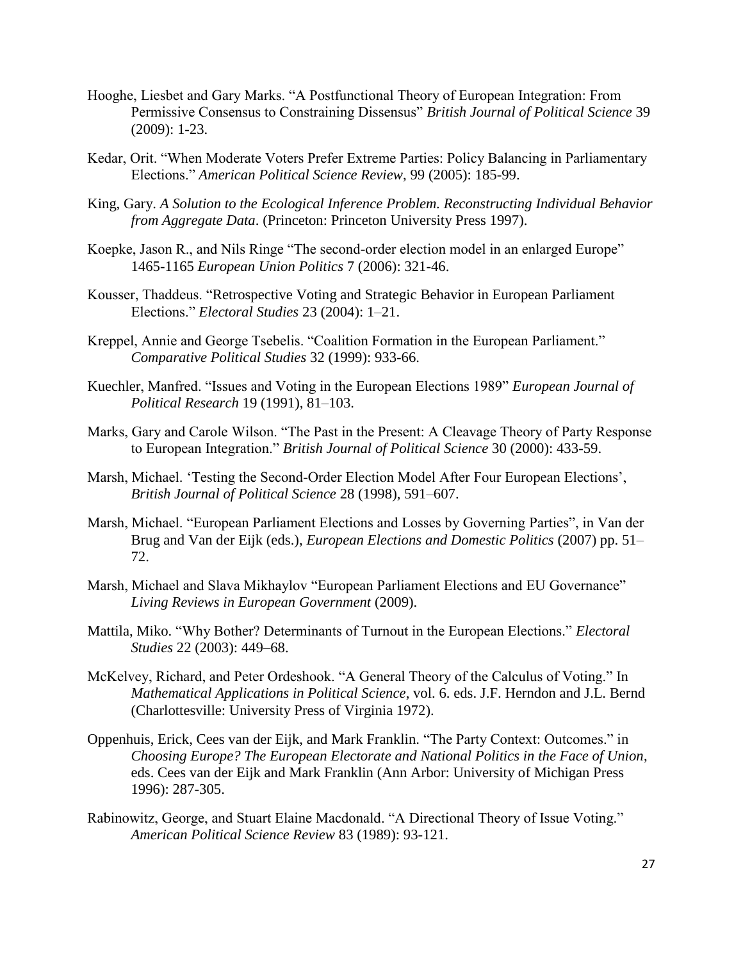- Hooghe, Liesbet and Gary Marks. "A Postfunctional Theory of European Integration: From Permissive Consensus to Constraining Dissensus" British Journal of Political Science 39 (2009): 1-23.
- Kedar, Orit. "When Moderate Voters Prefer Extreme Parties: Policy Balancing in Parliamentary Elections.‖ *American Political Science Review*, 99 (2005): 185-99.
- King, Gary. *A Solution to the Ecological Inference Problem. Reconstructing Individual Behavior from Aggregate Data*. (Princeton: Princeton University Press 1997).
- Koepke, Jason R., and Nils Ringe "The second-order election model in an enlarged Europe" 1465-1165 *European Union Politics* 7 (2006): 321-46.
- Kousser, Thaddeus. "Retrospective Voting and Strategic Behavior in European Parliament Elections.‖ *Electoral Studies* 23 (2004): 1–21.
- Kreppel, Annie and George Tsebelis. "Coalition Formation in the European Parliament." *Comparative Political Studies* 32 (1999): 933-66.
- Kuechler, Manfred. "Issues and Voting in the European Elections 1989" *European Journal of Political Research* 19 (1991), 81–103.
- Marks, Gary and Carole Wilson. "The Past in the Present: A Cleavage Theory of Party Response to European Integration." *British Journal of Political Science* 30 (2000): 433-59.
- Marsh, Michael. 'Testing the Second-Order Election Model After Four European Elections', *British Journal of Political Science* 28 (1998), 591–607.
- Marsh, Michael. "European Parliament Elections and Losses by Governing Parties", in Van der Brug and Van der Eijk (eds.), *European Elections and Domestic Politics* (2007) pp. 51– 72.
- Marsh, Michael and Slava Mikhaylov "European Parliament Elections and EU Governance" *Living Reviews in European Government* (2009).
- Mattila, Miko. "Why Bother? Determinants of Turnout in the European Elections." *Electoral Studies* 22 (2003): 449–68.
- McKelvey, Richard, and Peter Ordeshook. "A General Theory of the Calculus of Voting." In *Mathematical Applications in Political Science*, vol. 6. eds. J.F. Herndon and J.L. Bernd (Charlottesville: University Press of Virginia 1972).
- Oppenhuis, Erick, Cees van der Eijk, and Mark Franklin. "The Party Context: Outcomes." in *Choosing Europe? The European Electorate and National Politics in the Face of Union*, eds. Cees van der Eijk and Mark Franklin (Ann Arbor: University of Michigan Press 1996): 287-305.
- Rabinowitz, George, and Stuart Elaine Macdonald. "A Directional Theory of Issue Voting." *American Political Science Review* 83 (1989): 93-121.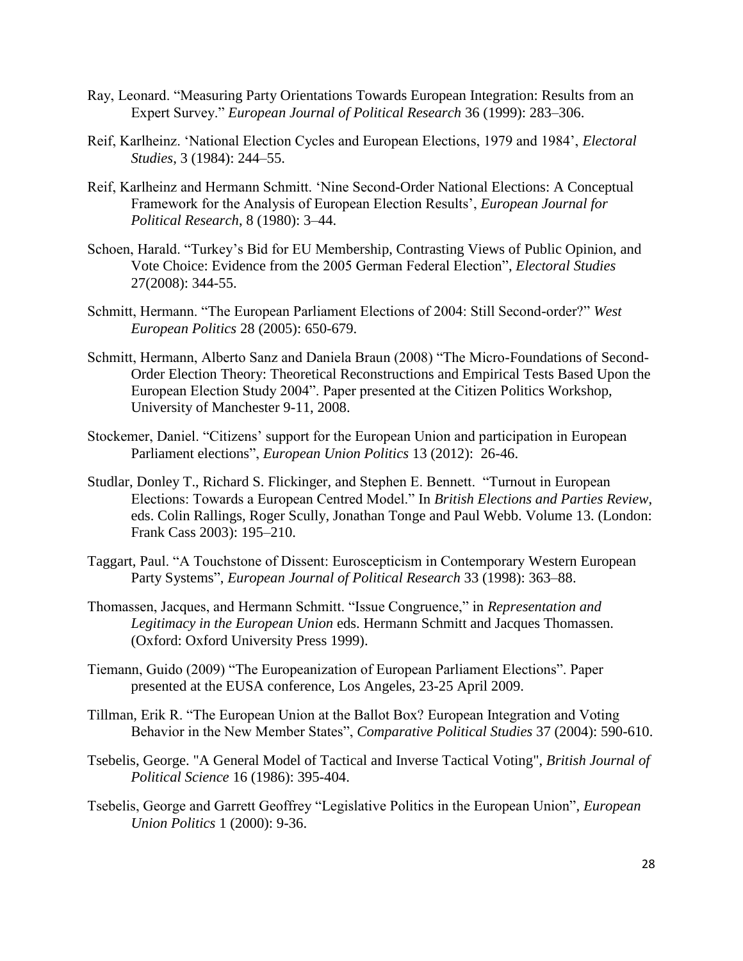- Ray, Leonard. "Measuring Party Orientations Towards European Integration: Results from an Expert Survey.‖ *European Journal of Political Research* 36 (1999): 283–306.
- Reif, Karlheinz. ‗National Election Cycles and European Elections, 1979 and 1984', *Electoral Studies*, 3 (1984): 244–55.
- Reif, Karlheinz and Hermann Schmitt. 'Nine Second-Order National Elections: A Conceptual Framework for the Analysis of European Election Results', *European Journal for Political Research*, 8 (1980): 3–44.
- Schoen, Harald. "Turkey's Bid for EU Membership, Contrasting Views of Public Opinion, and Vote Choice: Evidence from the 2005 German Federal Election", *Electoral Studies* 27(2008): 344-55.
- Schmitt, Hermann. "The European Parliament Elections of 2004: Still Second-order?" West *European Politics* 28 (2005): 650-679.
- Schmitt, Hermann, Alberto Sanz and Daniela Braun (2008) "The Micro-Foundations of Second-Order Election Theory: Theoretical Reconstructions and Empirical Tests Based Upon the European Election Study 2004". Paper presented at the Citizen Politics Workshop, University of Manchester 9-11, 2008.
- Stockemer, Daniel. "Citizens' support for the European Union and participation in European Parliament elections", *European Union Politics* 13 (2012): 26-46.
- Studlar, Donley T., Richard S. Flickinger, and Stephen E. Bennett. "Turnout in European Elections: Towards a European Centred Model.‖ In *British Elections and Parties Review*, eds. Colin Rallings, Roger Scully, Jonathan Tonge and Paul Webb. Volume 13. (London: Frank Cass 2003): 195–210.
- Taggart, Paul. "A Touchstone of Dissent: Euroscepticism in Contemporary Western European Party Systems", *European Journal of Political Research* 33 (1998): 363–88.
- Thomassen, Jacques, and Hermann Schmitt. "Issue Congruence," in *Representation and Legitimacy in the European Union* eds. Hermann Schmitt and Jacques Thomassen. (Oxford: Oxford University Press 1999).
- Tiemann, Guido (2009) "The Europeanization of European Parliament Elections". Paper presented at the EUSA conference, Los Angeles, 23-25 April 2009.
- Tillman, Erik R. "The European Union at the Ballot Box? European Integration and Voting Behavior in the New Member States", *Comparative Political Studies* 37 (2004): 590-610.
- Tsebelis, George. "A General Model of Tactical and Inverse Tactical Voting", *British Journal of Political Science* 16 (1986): 395-404.
- Tsebelis, George and Garrett Geoffrey "Legislative Politics in the European Union", *European Union Politics* 1 (2000): 9-36.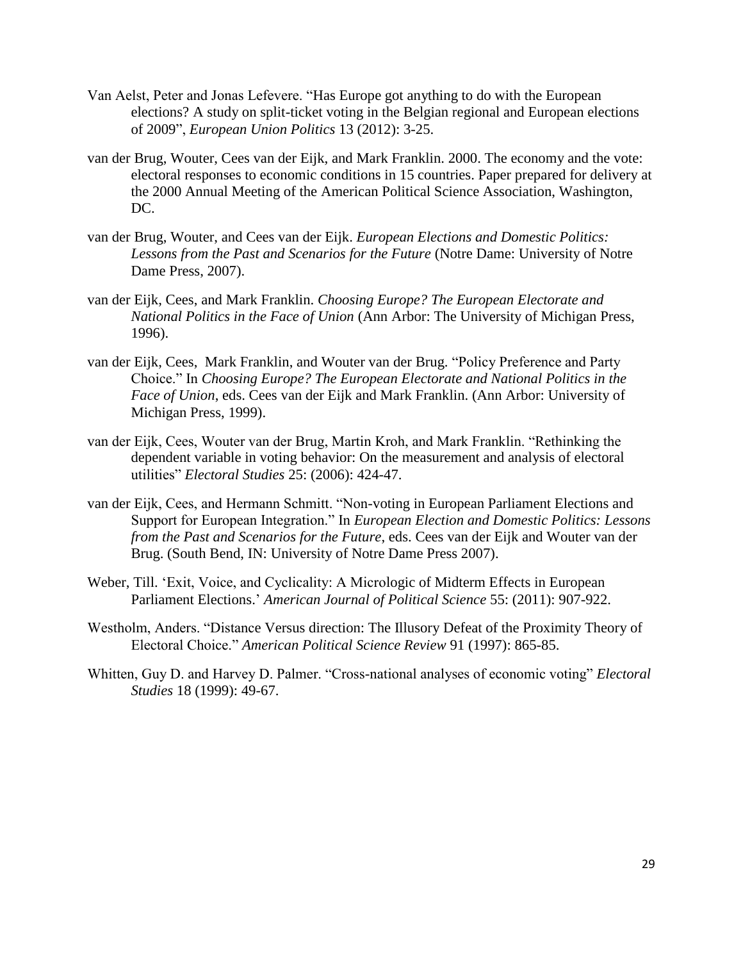- Van Aelst, Peter and Jonas Lefevere. "Has Europe got anything to do with the European elections? A study on split-ticket voting in the Belgian regional and European elections of 2009‖, *European Union Politics* 13 (2012): 3-25.
- van der Brug, Wouter, Cees van der Eijk, and Mark Franklin. 2000. The economy and the vote: electoral responses to economic conditions in 15 countries. Paper prepared for delivery at the 2000 Annual Meeting of the American Political Science Association, Washington, DC.
- van der Brug, Wouter, and Cees van der Eijk. *European Elections and Domestic Politics: Lessons from the Past and Scenarios for the Future* (Notre Dame: University of Notre Dame Press, 2007).
- van der Eijk, Cees, and Mark Franklin. *Choosing Europe? The European Electorate and National Politics in the Face of Union* (Ann Arbor: The University of Michigan Press, 1996).
- van der Eijk, Cees, Mark Franklin, and Wouter van der Brug. "Policy Preference and Party Choice.‖ In *Choosing Europe? The European Electorate and National Politics in the Face of Union*, eds. Cees van der Eijk and Mark Franklin. (Ann Arbor: University of Michigan Press, 1999).
- van der Eijk, Cees, Wouter van der Brug, Martin Kroh, and Mark Franklin. "Rethinking the dependent variable in voting behavior: On the measurement and analysis of electoral utilities‖ *Electoral Studies* 25: (2006): 424-47.
- van der Eijk, Cees, and Hermann Schmitt. "Non-voting in European Parliament Elections and Support for European Integration." In *European Election and Domestic Politics: Lessons from the Past and Scenarios for the Future*, eds. Cees van der Eijk and Wouter van der Brug. (South Bend, IN: University of Notre Dame Press 2007).
- Weber, Till. 'Exit, Voice, and Cyclicality: A Micrologic of Midterm Effects in European Parliament Elections.' *American Journal of Political Science* 55: (2011): 907-922.
- Westholm, Anders. "Distance Versus direction: The Illusory Defeat of the Proximity Theory of Electoral Choice.‖ *American Political Science Review* 91 (1997): 865-85.
- Whitten, Guy D. and Harvey D. Palmer. "Cross-national analyses of economic voting" *Electoral Studies* 18 (1999): 49-67.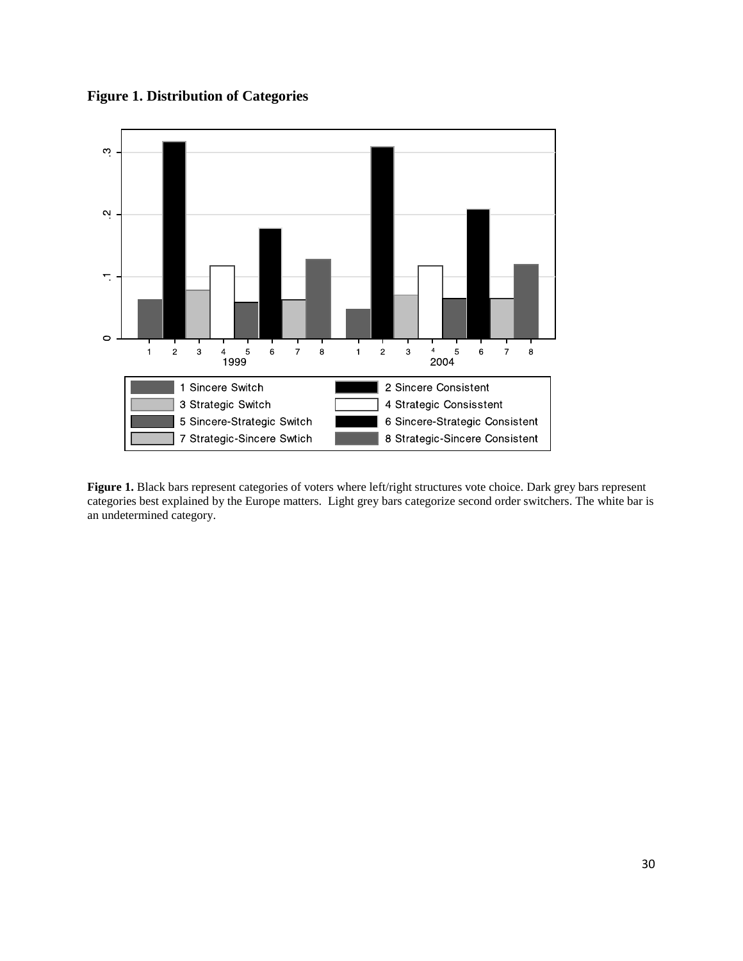**Figure 1. Distribution of Categories**



Figure 1. Black bars represent categories of voters where left/right structures vote choice. Dark grey bars represent categories best explained by the Europe matters. Light grey bars categorize second order switchers. The white bar is an undetermined category.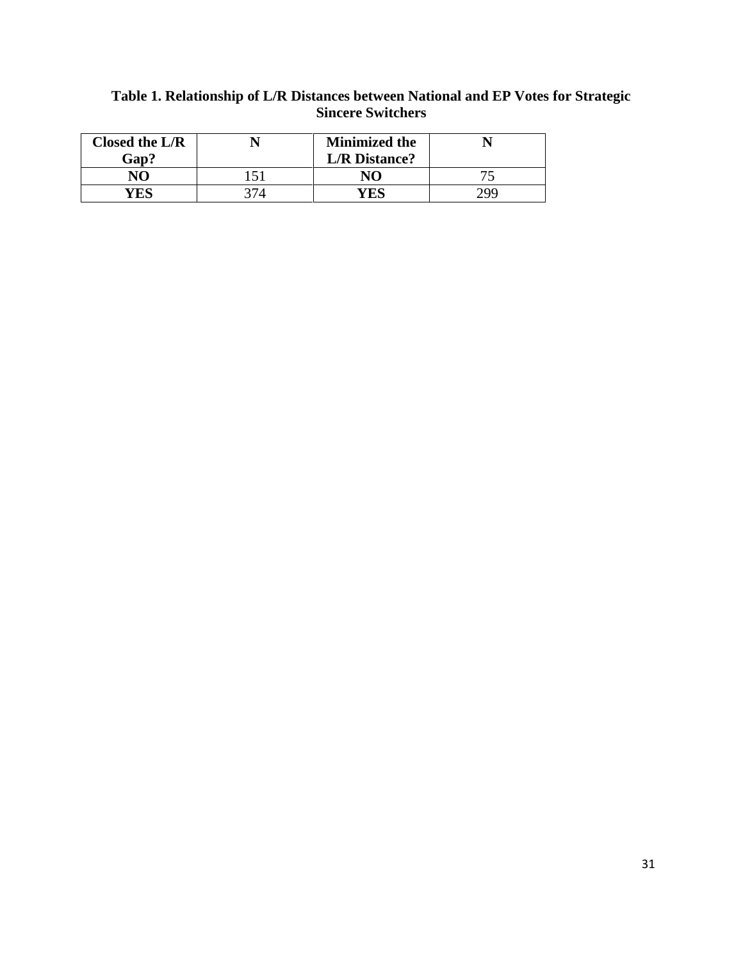| Closed the $L/R$ | <b>Minimized the</b> |            |
|------------------|----------------------|------------|
| Gap?             | <b>L/R</b> Distance? |            |
| $\mathbf{N}$     | NΩ                   |            |
|                  | ES                   | <b>70G</b> |

## **Table 1. Relationship of L/R Distances between National and EP Votes for Strategic Sincere Switchers**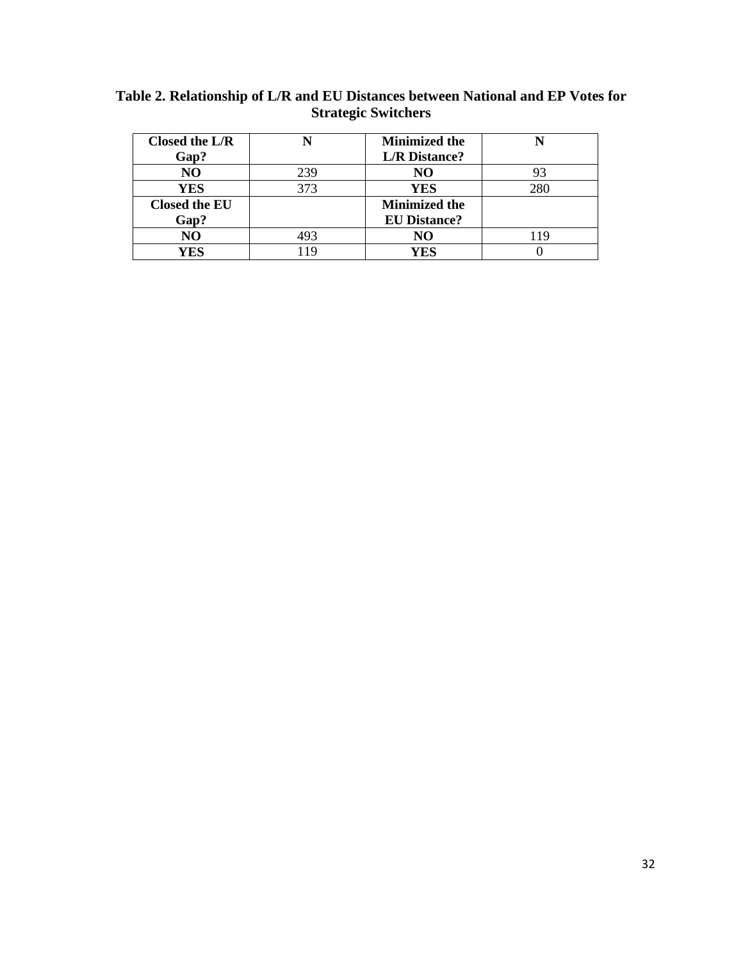| Closed the $L/R$     |      | <b>Minimized the</b> |     |
|----------------------|------|----------------------|-----|
| Gap?                 |      | <b>L/R</b> Distance? |     |
| NO                   | 239  | NO                   |     |
| YES                  | 373  | <b>YES</b>           | 280 |
| <b>Closed the EU</b> |      | <b>Minimized the</b> |     |
| Gap?                 |      | <b>EU Distance?</b>  |     |
| NO                   | 493  | NO                   |     |
| YES                  | 10 I | YES                  |     |

**Table 2. Relationship of L/R and EU Distances between National and EP Votes for Strategic Switchers**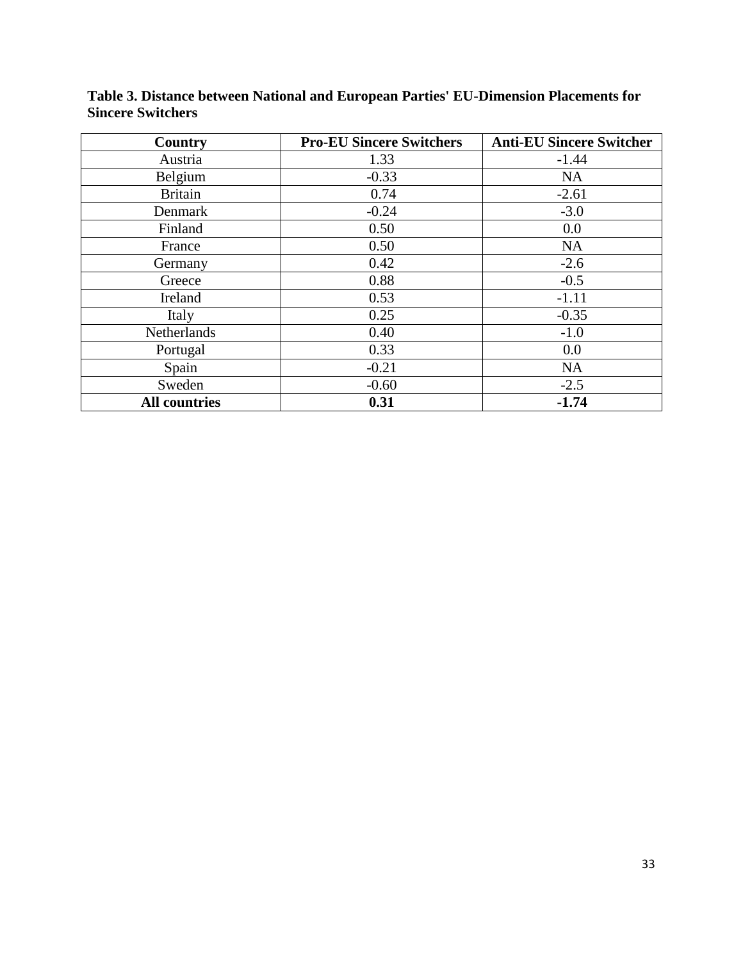| Country              | <b>Pro-EU Sincere Switchers</b> | <b>Anti-EU Sincere Switcher</b> |
|----------------------|---------------------------------|---------------------------------|
| Austria              | 1.33                            | $-1.44$                         |
| Belgium              | $-0.33$                         | <b>NA</b>                       |
| <b>Britain</b>       | 0.74                            | $-2.61$                         |
| Denmark              | $-0.24$                         | $-3.0$                          |
| Finland              | 0.50                            | 0.0                             |
| France               | 0.50                            | NA                              |
| Germany              | 0.42                            | $-2.6$                          |
| Greece               | 0.88                            | $-0.5$                          |
| Ireland              | 0.53                            | $-1.11$                         |
| Italy                | 0.25                            | $-0.35$                         |
| Netherlands          | 0.40                            | $-1.0$                          |
| Portugal             | 0.33                            | 0.0                             |
| Spain                | $-0.21$                         | <b>NA</b>                       |
| Sweden               | $-0.60$                         | $-2.5$                          |
| <b>All countries</b> | 0.31                            | $-1.74$                         |

**Table 3. Distance between National and European Parties' EU-Dimension Placements for Sincere Switchers**